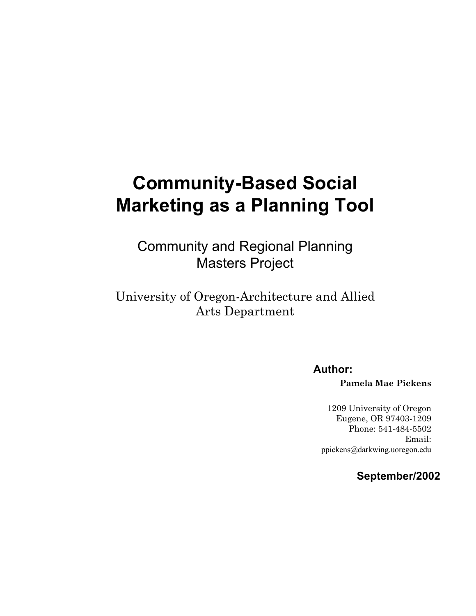# **Community-Based Social Marketing as a Planning Tool**

Community and Regional Planning Masters Project

University of Oregon-Architecture and Allied Arts Department

**Author:** 

**Pamela Mae Pickens** 

1209 University of Oregon Eugene, OR 97403-1209 Phone: 541-484-5502 Email: ppickens@darkwing.uoregon.edu

**September/2002**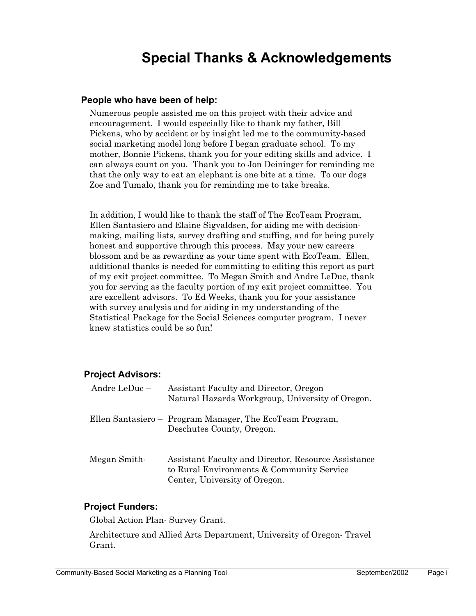## **Special Thanks & Acknowledgements**

### **People who have been of help:**

Numerous people assisted me on this project with their advice and encouragement. I would especially like to thank my father, Bill Pickens, who by accident or by insight led me to the community-based social marketing model long before I began graduate school. To my mother, Bonnie Pickens, thank you for your editing skills and advice. I can always count on you. Thank you to Jon Deininger for reminding me that the only way to eat an elephant is one bite at a time. To our dogs Zoe and Tumalo, thank you for reminding me to take breaks.

In addition, I would like to thank the staff of The EcoTeam Program, Ellen Santasiero and Elaine Sigvaldsen, for aiding me with decisionmaking, mailing lists, survey drafting and stuffing, and for being purely honest and supportive through this process. May your new careers blossom and be as rewarding as your time spent with EcoTeam. Ellen, additional thanks is needed for committing to editing this report as part of my exit project committee. To Megan Smith and Andre LeDuc, thank you for serving as the faculty portion of my exit project committee. You are excellent advisors. To Ed Weeks, thank you for your assistance with survey analysis and for aiding in my understanding of the Statistical Package for the Social Sciences computer program. I never knew statistics could be so fun!

### **Project Advisors:**

| Andre Le $Duc -$ | Assistant Faculty and Director, Oregon<br>Natural Hazards Workgroup, University of Oregon.                                        |
|------------------|-----------------------------------------------------------------------------------------------------------------------------------|
|                  | Ellen Santasiero – Program Manager, The EcoTeam Program,<br>Deschutes County, Oregon.                                             |
| Megan Smith-     | Assistant Faculty and Director, Resource Assistance<br>to Rural Environments & Community Service<br>Center, University of Oregon. |

### **Project Funders:**

Global Action Plan- Survey Grant.

Architecture and Allied Arts Department, University of Oregon- Travel Grant.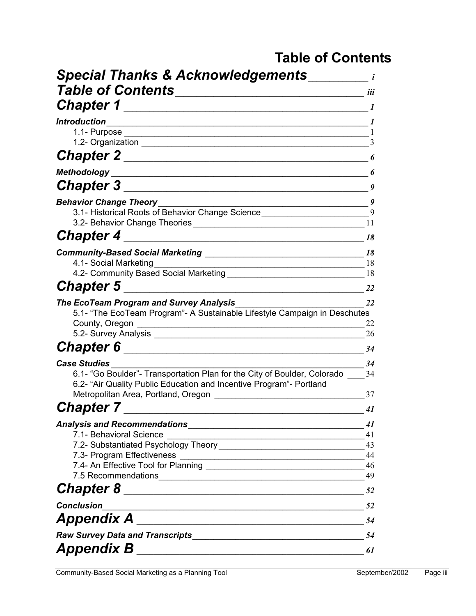## **Table of Contents**

| <b>Special Thanks &amp; Acknowledgements</b>                                                                                                                          |                |
|-----------------------------------------------------------------------------------------------------------------------------------------------------------------------|----------------|
| <b>Table of Contents</b>                                                                                                                                              | iii            |
| <b>Chapter 1</b>                                                                                                                                                      |                |
| <b>Introduction</b>                                                                                                                                                   |                |
| 1.1- Purpose                                                                                                                                                          |                |
|                                                                                                                                                                       | 3              |
| <b>Chapter 2_</b>                                                                                                                                                     | 6              |
| <b>Methodology</b>                                                                                                                                                    | 6              |
| <b>Chapter 3</b>                                                                                                                                                      | 9              |
| <b>Behavior Change Theory</b>                                                                                                                                         | 9              |
| 3.1- Historical Roots of Behavior Change Science________________________________                                                                                      | 9              |
| 3.2- Behavior Change Theories <b>State and State and State Assembly</b> 3.2-                                                                                          | 11             |
| <b>Chapter 4</b>                                                                                                                                                      | 18             |
|                                                                                                                                                                       | 18             |
| 4.1- Social Marketing                                                                                                                                                 | 18<br>18       |
| <b>Chapter 5</b>                                                                                                                                                      |                |
|                                                                                                                                                                       | 22             |
| <b>The EcoTeam Program and Survey Analysis</b><br>5.1- "The EcoTeam Program"- A Sustainable Lifestyle Campaign in Deschutes<br>County, Oregon<br>5.2- Survey Analysis | 22<br>22<br>26 |
| <b>Chapter 6</b>                                                                                                                                                      |                |
|                                                                                                                                                                       | 34             |
| <b>Case Studies</b><br>6.1- "Go Boulder"- Transportation Plan for the City of Boulder, Colorado                                                                       | 34<br>34       |
| 6.2- "Air Quality Public Education and Incentive Program"- Portland<br>Metropolitan Area, Portland, Oregon                                                            | 37             |
| <b>Chapter 7</b>                                                                                                                                                      | 41             |
|                                                                                                                                                                       | 41             |
| 7.1- Behavioral Science<br><u> 1989 - Johann Harry Harry Harry Harry Harry Harry Harry Harry Harry Harry Harry Harry Harry Harry Harry Harry</u>                      | 41             |
|                                                                                                                                                                       | 43             |
|                                                                                                                                                                       | 44             |
| 7.5 Recommendations                                                                                                                                                   | 49             |
| <u> 1989 - Johann Barn, mars ar breithinn ar chwaraeth a bhaile ann an t-</u>                                                                                         | 52             |
|                                                                                                                                                                       |                |
| <b>Conclusion</b>                                                                                                                                                     | 52             |
|                                                                                                                                                                       | 54             |
| Raw Survey Data and Transcripts Manual Communication of the Survey Data and Transcripts                                                                               | 54             |
| <b>Appendix B</b>                                                                                                                                                     | 61             |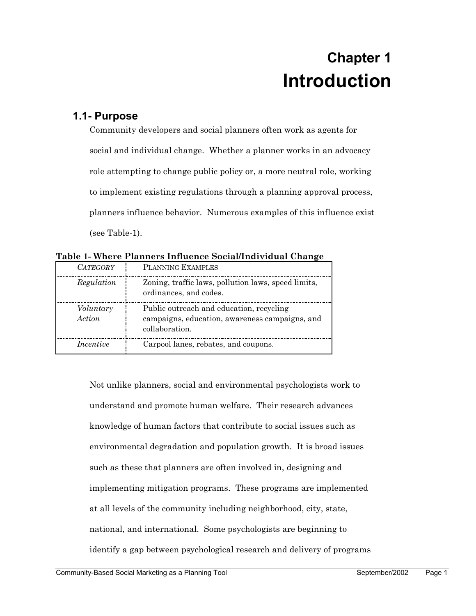## **Chapter 1 Introduction**

## **1.1- Purpose**

Community developers and social planners often work as agents for social and individual change. Whether a planner works in an advocacy role attempting to change public policy or, a more neutral role, working to implement existing regulations through a planning approval process, planners influence behavior. Numerous examples of this influence exist (see Table-1).

| Table 1- Where Planners Influence Social/Individual Change |  |  |  |
|------------------------------------------------------------|--|--|--|
|                                                            |  |  |  |

| <i>CATEGORY</i>     | PLANNING EXAMPLES                                                                                            |
|---------------------|--------------------------------------------------------------------------------------------------------------|
| Regulation          | Zoning, traffic laws, pollution laws, speed limits,<br>ordinances, and codes.                                |
| Voluntary<br>Action | Public outreach and education, recycling<br>campaigns, education, awareness campaigns, and<br>collaboration. |
| Incentive           | Carpool lanes, rebates, and coupons.                                                                         |

Not unlike planners, social and environmental psychologists work to understand and promote human welfare. Their research advances knowledge of human factors that contribute to social issues such as environmental degradation and population growth. It is broad issues such as these that planners are often involved in, designing and implementing mitigation programs. These programs are implemented at all levels of the community including neighborhood, city, state, national, and international. Some psychologists are beginning to identify a gap between psychological research and delivery of programs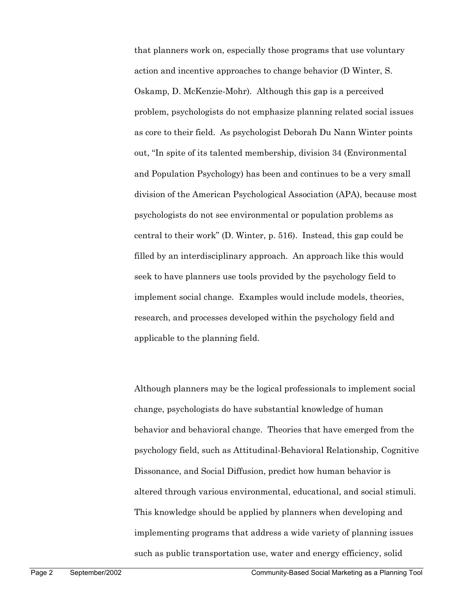that planners work on, especially those programs that use voluntary action and incentive approaches to change behavior (D Winter, S. Oskamp, D. McKenzie-Mohr). Although this gap is a perceived problem, psychologists do not emphasize planning related social issues as core to their field. As psychologist Deborah Du Nann Winter points out, "In spite of its talented membership, division 34 (Environmental and Population Psychology) has been and continues to be a very small division of the American Psychological Association (APA), because most psychologists do not see environmental or population problems as central to their work" (D. Winter, p. 516). Instead, this gap could be filled by an interdisciplinary approach. An approach like this would seek to have planners use tools provided by the psychology field to implement social change. Examples would include models, theories, research, and processes developed within the psychology field and applicable to the planning field.

Although planners may be the logical professionals to implement social change, psychologists do have substantial knowledge of human behavior and behavioral change. Theories that have emerged from the psychology field, such as Attitudinal-Behavioral Relationship, Cognitive Dissonance, and Social Diffusion, predict how human behavior is altered through various environmental, educational, and social stimuli. This knowledge should be applied by planners when developing and implementing programs that address a wide variety of planning issues such as public transportation use, water and energy efficiency, solid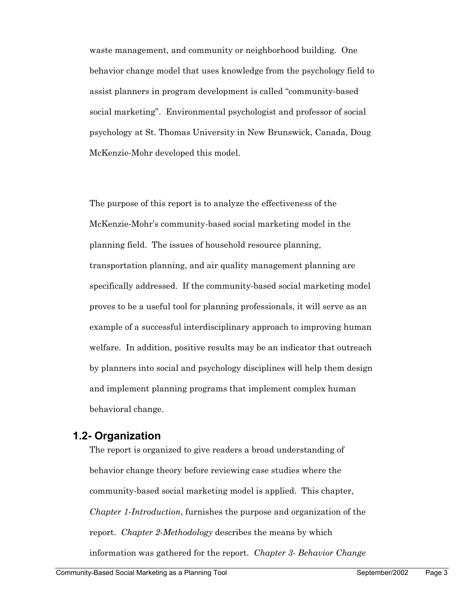waste management, and community or neighborhood building. One behavior change model that uses knowledge from the psychology field to assist planners in program development is called "community-based social marketing". Environmental psychologist and professor of social psychology at St. Thomas University in New Brunswick, Canada, Doug McKenzie-Mohr developed this model.

The purpose of this report is to analyze the effectiveness of the McKenzie-Mohr's community-based social marketing model in the planning field. The issues of household resource planning, transportation planning, and air quality management planning are specifically addressed. If the community-based social marketing model proves to be a useful tool for planning professionals, it will serve as an example of a successful interdisciplinary approach to improving human welfare. In addition, positive results may be an indicator that outreach by planners into social and psychology disciplines will help them design and implement planning programs that implement complex human behavioral change.

## **1.2- Organization**

The report is organized to give readers a broad understanding of behavior change theory before reviewing case studies where the community-based social marketing model is applied. This chapter, *Chapter 1-Introduction*, furnishes the purpose and organization of the report. *Chapter 2-Methodology* describes the means by which information was gathered for the report. *Chapter 3- Behavior Change*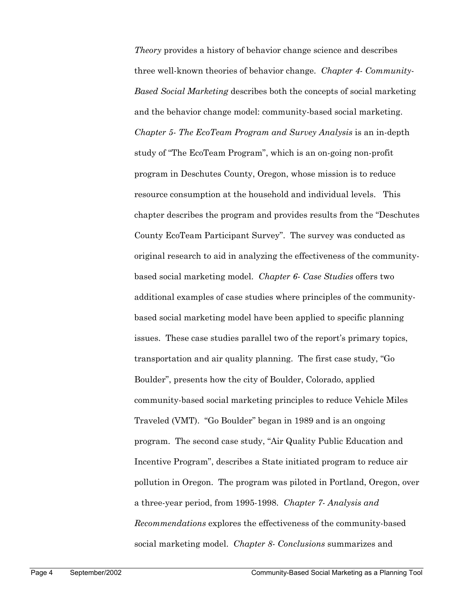*Theory* provides a history of behavior change science and describes three well-known theories of behavior change. *Chapter 4- Community-Based Social Marketing* describes both the concepts of social marketing and the behavior change model: community-based social marketing. *Chapter 5- The EcoTeam Program and Survey Analysis* is an in-depth study of "The EcoTeam Program", which is an on-going non-profit program in Deschutes County, Oregon, whose mission is to reduce resource consumption at the household and individual levels. This chapter describes the program and provides results from the "Deschutes County EcoTeam Participant Survey". The survey was conducted as original research to aid in analyzing the effectiveness of the communitybased social marketing model. *Chapter 6- Case Studies* offers two additional examples of case studies where principles of the communitybased social marketing model have been applied to specific planning issues. These case studies parallel two of the report's primary topics, transportation and air quality planning. The first case study, "Go Boulder", presents how the city of Boulder, Colorado, applied community-based social marketing principles to reduce Vehicle Miles Traveled (VMT). "Go Boulder" began in 1989 and is an ongoing program. The second case study, "Air Quality Public Education and Incentive Program", describes a State initiated program to reduce air pollution in Oregon. The program was piloted in Portland, Oregon, over a three-year period, from 1995-1998. *Chapter 7- Analysis and Recommendations* explores the effectiveness of the community-based social marketing model. *Chapter 8- Conclusions* summarizes and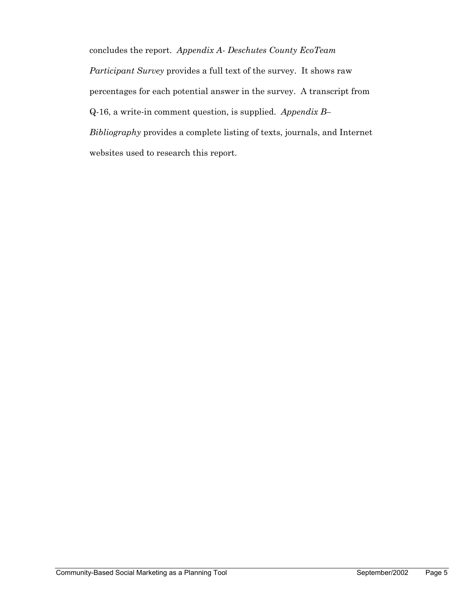concludes the report. *Appendix A- Deschutes County EcoTeam Participant Survey* provides a full text of the survey. It shows raw percentages for each potential answer in the survey. A transcript from Q-16, a write-in comment question, is supplied. *Appendix B– Bibliography* provides a complete listing of texts, journals, and Internet websites used to research this report.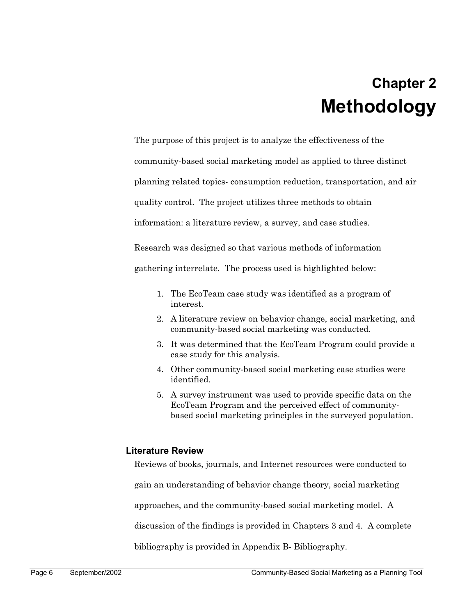## **Chapter 2 Methodology**

The purpose of this project is to analyze the effectiveness of the

community-based social marketing model as applied to three distinct

planning related topics- consumption reduction, transportation, and air

quality control. The project utilizes three methods to obtain

information: a literature review, a survey, and case studies.

Research was designed so that various methods of information

gathering interrelate. The process used is highlighted below:

- 1. The EcoTeam case study was identified as a program of interest.
- 2. A literature review on behavior change, social marketing, and community-based social marketing was conducted.
- 3. It was determined that the EcoTeam Program could provide a case study for this analysis.
- 4. Other community-based social marketing case studies were identified.
- 5. A survey instrument was used to provide specific data on the EcoTeam Program and the perceived effect of communitybased social marketing principles in the surveyed population.

### **Literature Review**

Reviews of books, journals, and Internet resources were conducted to

gain an understanding of behavior change theory, social marketing

approaches, and the community-based social marketing model. A

discussion of the findings is provided in Chapters 3 and 4. A complete

bibliography is provided in Appendix B- Bibliography.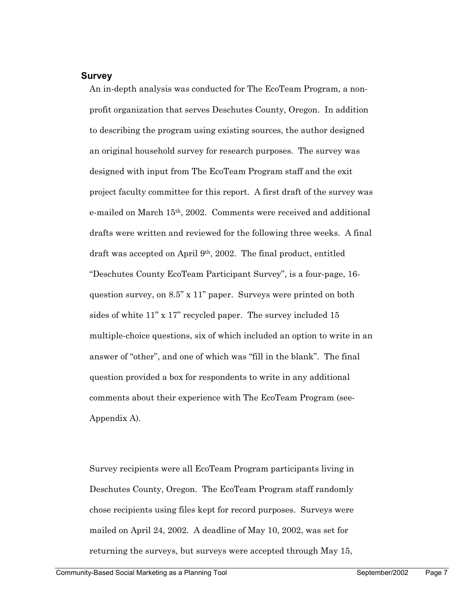#### **Survey**

An in-depth analysis was conducted for The EcoTeam Program, a nonprofit organization that serves Deschutes County, Oregon. In addition to describing the program using existing sources, the author designed an original household survey for research purposes. The survey was designed with input from The EcoTeam Program staff and the exit project faculty committee for this report. A first draft of the survey was e-mailed on March 15th, 2002. Comments were received and additional drafts were written and reviewed for the following three weeks. A final draft was accepted on April 9th, 2002. The final product, entitled "Deschutes County EcoTeam Participant Survey", is a four-page, 16 question survey, on 8.5" x 11" paper. Surveys were printed on both sides of white 11" x 17" recycled paper. The survey included 15 multiple-choice questions, six of which included an option to write in an answer of "other", and one of which was "fill in the blank". The final question provided a box for respondents to write in any additional comments about their experience with The EcoTeam Program (see-Appendix A).

Survey recipients were all EcoTeam Program participants living in Deschutes County, Oregon. The EcoTeam Program staff randomly chose recipients using files kept for record purposes. Surveys were mailed on April 24, 2002. A deadline of May 10, 2002, was set for returning the surveys, but surveys were accepted through May 15,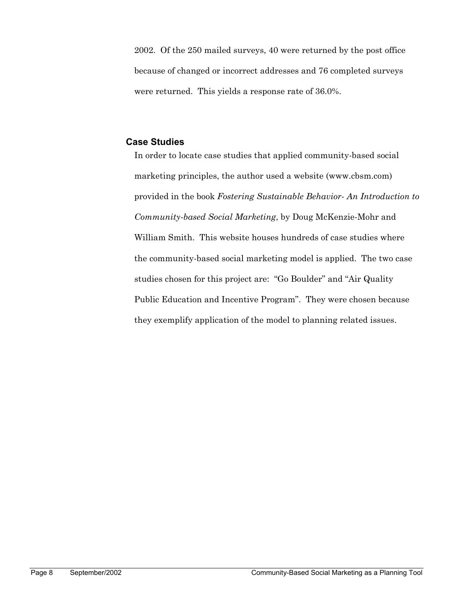2002. Of the 250 mailed surveys, 40 were returned by the post office because of changed or incorrect addresses and 76 completed surveys were returned. This yields a response rate of 36.0%.

#### **Case Studies**

In order to locate case studies that applied community-based social marketing principles, the author used a website (www.cbsm.com) provided in the book *Fostering Sustainable Behavior- An Introduction to Community-based Social Marketing*, by Doug McKenzie-Mohr and William Smith. This website houses hundreds of case studies where the community-based social marketing model is applied. The two case studies chosen for this project are: "Go Boulder" and "Air Quality Public Education and Incentive Program". They were chosen because they exemplify application of the model to planning related issues.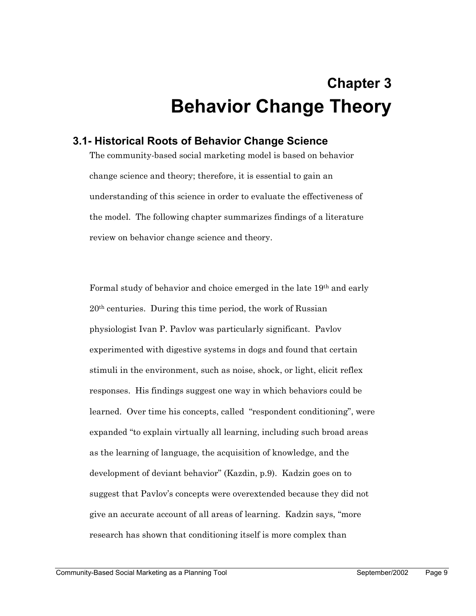# **Chapter 3 Behavior Change Theory**

## **3.1- Historical Roots of Behavior Change Science**

The community-based social marketing model is based on behavior change science and theory; therefore, it is essential to gain an understanding of this science in order to evaluate the effectiveness of the model. The following chapter summarizes findings of a literature review on behavior change science and theory.

Formal study of behavior and choice emerged in the late 19th and early 20th centuries. During this time period, the work of Russian physiologist Ivan P. Pavlov was particularly significant. Pavlov experimented with digestive systems in dogs and found that certain stimuli in the environment, such as noise, shock, or light, elicit reflex responses. His findings suggest one way in which behaviors could be learned. Over time his concepts, called "respondent conditioning", were expanded "to explain virtually all learning, including such broad areas as the learning of language, the acquisition of knowledge, and the development of deviant behavior" (Kazdin, p.9). Kadzin goes on to suggest that Pavlov's concepts were overextended because they did not give an accurate account of all areas of learning. Kadzin says, "more research has shown that conditioning itself is more complex than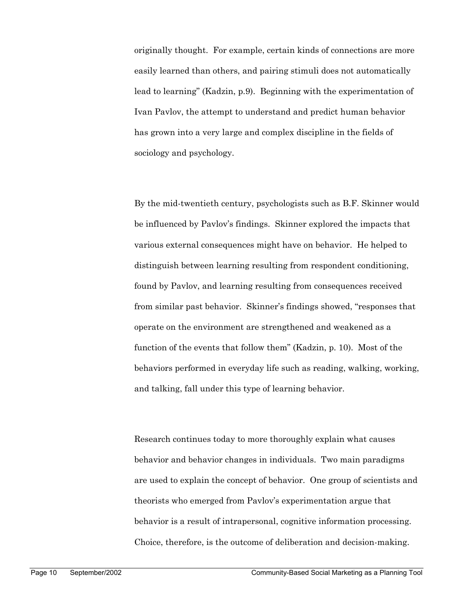originally thought. For example, certain kinds of connections are more easily learned than others, and pairing stimuli does not automatically lead to learning" (Kadzin, p.9). Beginning with the experimentation of Ivan Pavlov, the attempt to understand and predict human behavior has grown into a very large and complex discipline in the fields of sociology and psychology.

By the mid-twentieth century, psychologists such as B.F. Skinner would be influenced by Pavlov's findings. Skinner explored the impacts that various external consequences might have on behavior. He helped to distinguish between learning resulting from respondent conditioning, found by Pavlov, and learning resulting from consequences received from similar past behavior. Skinner's findings showed, "responses that operate on the environment are strengthened and weakened as a function of the events that follow them" (Kadzin, p. 10). Most of the behaviors performed in everyday life such as reading, walking, working, and talking, fall under this type of learning behavior.

Research continues today to more thoroughly explain what causes behavior and behavior changes in individuals. Two main paradigms are used to explain the concept of behavior. One group of scientists and theorists who emerged from Pavlov's experimentation argue that behavior is a result of intrapersonal, cognitive information processing. Choice, therefore, is the outcome of deliberation and decision-making.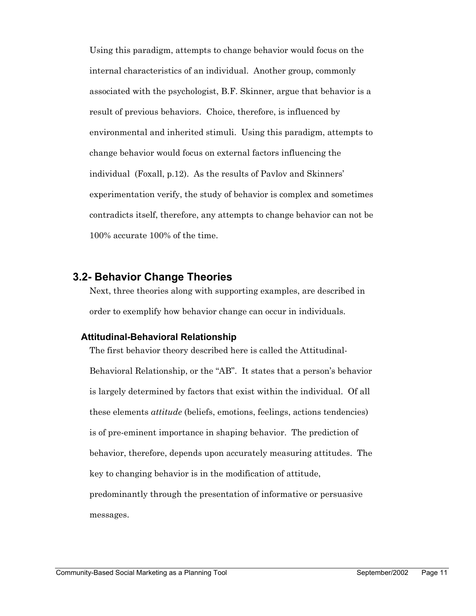Using this paradigm, attempts to change behavior would focus on the internal characteristics of an individual. Another group, commonly associated with the psychologist, B.F. Skinner, argue that behavior is a result of previous behaviors. Choice, therefore, is influenced by environmental and inherited stimuli. Using this paradigm, attempts to change behavior would focus on external factors influencing the individual (Foxall, p.12). As the results of Pavlov and Skinners' experimentation verify, the study of behavior is complex and sometimes contradicts itself, therefore, any attempts to change behavior can not be 100% accurate 100% of the time.

### **3.2- Behavior Change Theories**

Next, three theories along with supporting examples, are described in order to exemplify how behavior change can occur in individuals.

#### **Attitudinal-Behavioral Relationship**

The first behavior theory described here is called the Attitudinal-Behavioral Relationship, or the "AB". It states that a person's behavior is largely determined by factors that exist within the individual. Of all these elements *attitude* (beliefs, emotions, feelings, actions tendencies) is of pre-eminent importance in shaping behavior. The prediction of behavior, therefore, depends upon accurately measuring attitudes. The key to changing behavior is in the modification of attitude, predominantly through the presentation of informative or persuasive messages.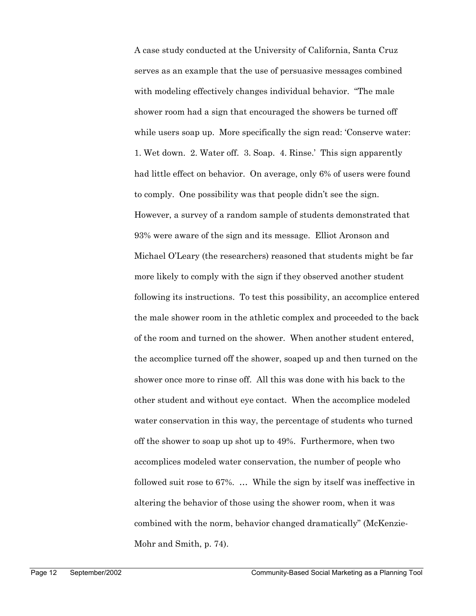A case study conducted at the University of California, Santa Cruz serves as an example that the use of persuasive messages combined with modeling effectively changes individual behavior. "The male shower room had a sign that encouraged the showers be turned off while users soap up. More specifically the sign read: 'Conserve water: 1. Wet down. 2. Water off. 3. Soap. 4. Rinse.' This sign apparently had little effect on behavior. On average, only 6% of users were found to comply. One possibility was that people didn't see the sign. However, a survey of a random sample of students demonstrated that 93% were aware of the sign and its message. Elliot Aronson and Michael O'Leary (the researchers) reasoned that students might be far more likely to comply with the sign if they observed another student following its instructions. To test this possibility, an accomplice entered the male shower room in the athletic complex and proceeded to the back of the room and turned on the shower. When another student entered, the accomplice turned off the shower, soaped up and then turned on the shower once more to rinse off. All this was done with his back to the other student and without eye contact. When the accomplice modeled water conservation in this way, the percentage of students who turned off the shower to soap up shot up to 49%. Furthermore, when two accomplices modeled water conservation, the number of people who followed suit rose to 67%. … While the sign by itself was ineffective in altering the behavior of those using the shower room, when it was combined with the norm, behavior changed dramatically" (McKenzie-Mohr and Smith, p. 74).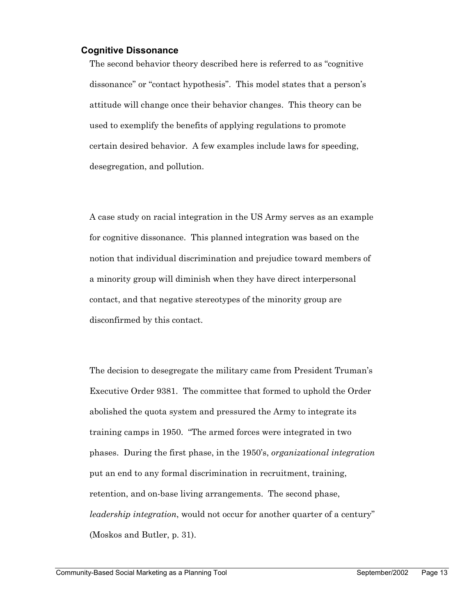#### **Cognitive Dissonance**

The second behavior theory described here is referred to as "cognitive dissonance" or "contact hypothesis". This model states that a person's attitude will change once their behavior changes. This theory can be used to exemplify the benefits of applying regulations to promote certain desired behavior. A few examples include laws for speeding, desegregation, and pollution.

A case study on racial integration in the US Army serves as an example for cognitive dissonance. This planned integration was based on the notion that individual discrimination and prejudice toward members of a minority group will diminish when they have direct interpersonal contact, and that negative stereotypes of the minority group are disconfirmed by this contact.

The decision to desegregate the military came from President Truman's Executive Order 9381. The committee that formed to uphold the Order abolished the quota system and pressured the Army to integrate its training camps in 1950. "The armed forces were integrated in two phases. During the first phase, in the 1950's, *organizational integration* put an end to any formal discrimination in recruitment, training, retention, and on-base living arrangements. The second phase, *leadership integration*, would not occur for another quarter of a century" (Moskos and Butler, p. 31).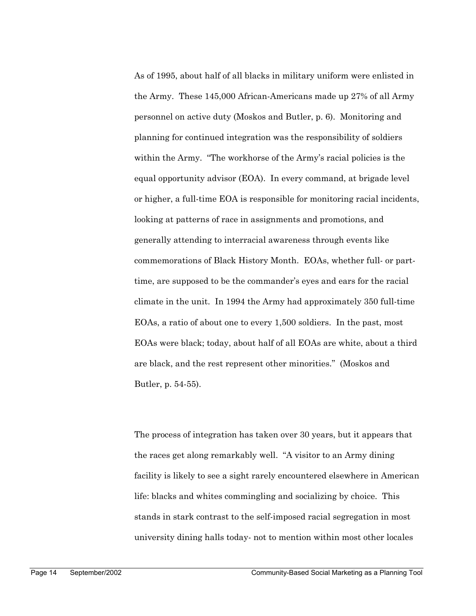As of 1995, about half of all blacks in military uniform were enlisted in the Army. These 145,000 African-Americans made up 27% of all Army personnel on active duty (Moskos and Butler, p. 6). Monitoring and planning for continued integration was the responsibility of soldiers within the Army. "The workhorse of the Army's racial policies is the equal opportunity advisor (EOA). In every command, at brigade level or higher, a full-time EOA is responsible for monitoring racial incidents, looking at patterns of race in assignments and promotions, and generally attending to interracial awareness through events like commemorations of Black History Month. EOAs, whether full- or parttime, are supposed to be the commander's eyes and ears for the racial climate in the unit. In 1994 the Army had approximately 350 full-time EOAs, a ratio of about one to every 1,500 soldiers. In the past, most EOAs were black; today, about half of all EOAs are white, about a third are black, and the rest represent other minorities." (Moskos and Butler, p. 54-55).

The process of integration has taken over 30 years, but it appears that the races get along remarkably well. "A visitor to an Army dining facility is likely to see a sight rarely encountered elsewhere in American life: blacks and whites commingling and socializing by choice. This stands in stark contrast to the self-imposed racial segregation in most university dining halls today- not to mention within most other locales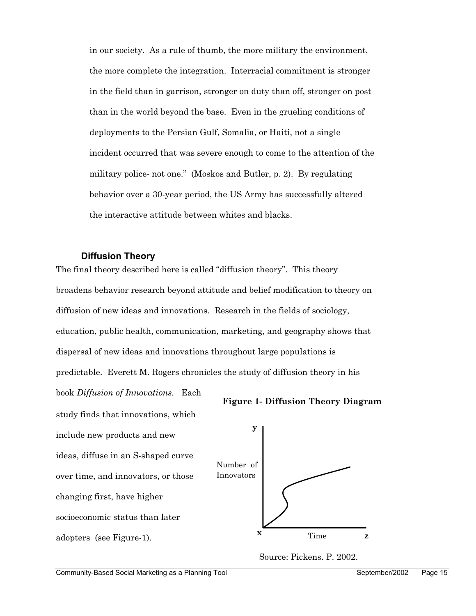in our society. As a rule of thumb, the more military the environment, the more complete the integration. Interracial commitment is stronger in the field than in garrison, stronger on duty than off, stronger on post than in the world beyond the base. Even in the grueling conditions of deployments to the Persian Gulf, Somalia, or Haiti, not a single incident occurred that was severe enough to come to the attention of the military police- not one." (Moskos and Butler, p. 2). By regulating behavior over a 30-year period, the US Army has successfully altered the interactive attitude between whites and blacks.

#### **Diffusion Theory**

The final theory described here is called "diffusion theory". This theory broadens behavior research beyond attitude and belief modification to theory on diffusion of new ideas and innovations. Research in the fields of sociology, education, public health, communication, marketing, and geography shows that dispersal of new ideas and innovations throughout large populations is predictable. Everett M. Rogers chronicles the study of diffusion theory in his

book *Diffusion of Innovations.* Each study finds that innovations, which include new products and new ideas, diffuse in an S-shaped curve over time, and innovators, or those changing first, have higher socioeconomic status than later adopters (see Figure-1).





Source: Pickens, P. 2002.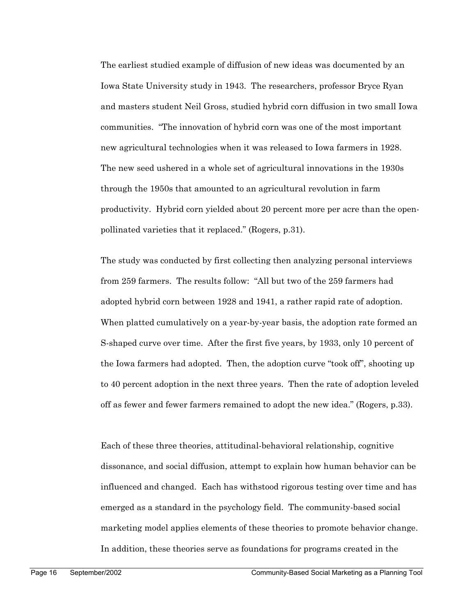The earliest studied example of diffusion of new ideas was documented by an Iowa State University study in 1943. The researchers, professor Bryce Ryan and masters student Neil Gross, studied hybrid corn diffusion in two small Iowa communities. "The innovation of hybrid corn was one of the most important new agricultural technologies when it was released to Iowa farmers in 1928. The new seed ushered in a whole set of agricultural innovations in the 1930s through the 1950s that amounted to an agricultural revolution in farm productivity. Hybrid corn yielded about 20 percent more per acre than the openpollinated varieties that it replaced." (Rogers, p.31).

The study was conducted by first collecting then analyzing personal interviews from 259 farmers. The results follow: "All but two of the 259 farmers had adopted hybrid corn between 1928 and 1941, a rather rapid rate of adoption. When platted cumulatively on a year-by-year basis, the adoption rate formed an S-shaped curve over time. After the first five years, by 1933, only 10 percent of the Iowa farmers had adopted. Then, the adoption curve "took off", shooting up to 40 percent adoption in the next three years. Then the rate of adoption leveled off as fewer and fewer farmers remained to adopt the new idea." (Rogers, p.33).

Each of these three theories, attitudinal-behavioral relationship, cognitive dissonance, and social diffusion, attempt to explain how human behavior can be influenced and changed. Each has withstood rigorous testing over time and has emerged as a standard in the psychology field. The community-based social marketing model applies elements of these theories to promote behavior change. In addition, these theories serve as foundations for programs created in the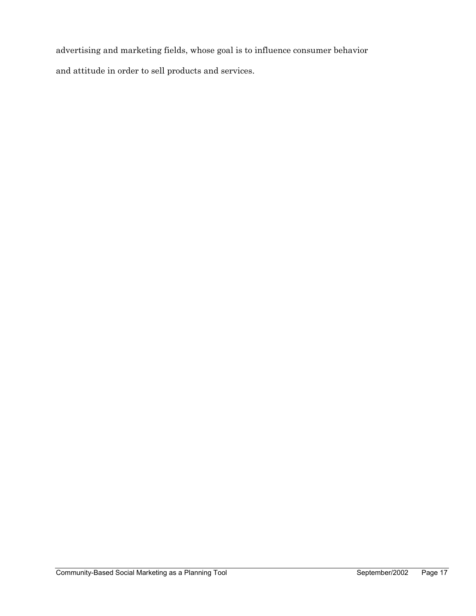advertising and marketing fields, whose goal is to influence consumer behavior and attitude in order to sell products and services.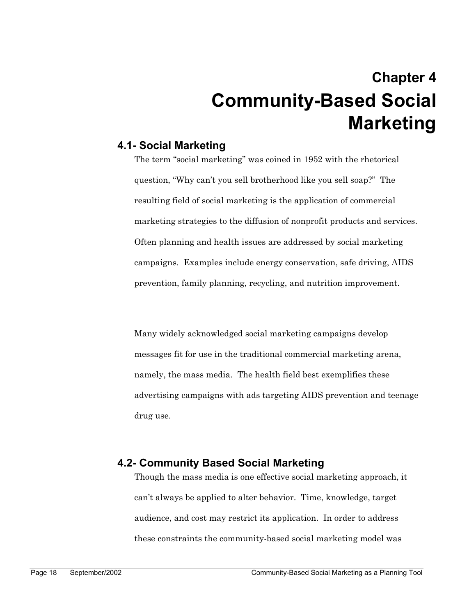# **Chapter 4 Community-Based Social Marketing**

## **4.1- Social Marketing**

The term "social marketing" was coined in 1952 with the rhetorical question, "Why can't you sell brotherhood like you sell soap?" The resulting field of social marketing is the application of commercial marketing strategies to the diffusion of nonprofit products and services. Often planning and health issues are addressed by social marketing campaigns. Examples include energy conservation, safe driving, AIDS prevention, family planning, recycling, and nutrition improvement.

Many widely acknowledged social marketing campaigns develop messages fit for use in the traditional commercial marketing arena, namely, the mass media. The health field best exemplifies these advertising campaigns with ads targeting AIDS prevention and teenage drug use.

## **4.2- Community Based Social Marketing**

Though the mass media is one effective social marketing approach, it can't always be applied to alter behavior. Time, knowledge, target audience, and cost may restrict its application. In order to address these constraints the community-based social marketing model was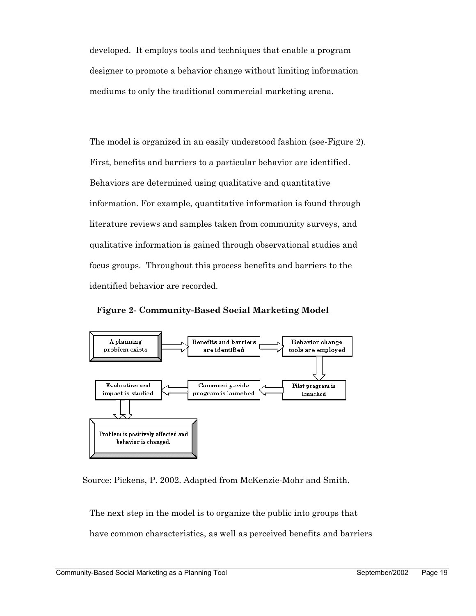developed. It employs tools and techniques that enable a program designer to promote a behavior change without limiting information mediums to only the traditional commercial marketing arena.

The model is organized in an easily understood fashion (see-Figure 2). First, benefits and barriers to a particular behavior are identified. Behaviors are determined using qualitative and quantitative information. For example, quantitative information is found through literature reviews and samples taken from community surveys, and qualitative information is gained through observational studies and focus groups. Throughout this process benefits and barriers to the identified behavior are recorded.

**Figure 2- Community-Based Social Marketing Model**



Source: Pickens, P. 2002. Adapted from McKenzie-Mohr and Smith.

The next step in the model is to organize the public into groups that

have common characteristics, as well as perceived benefits and barriers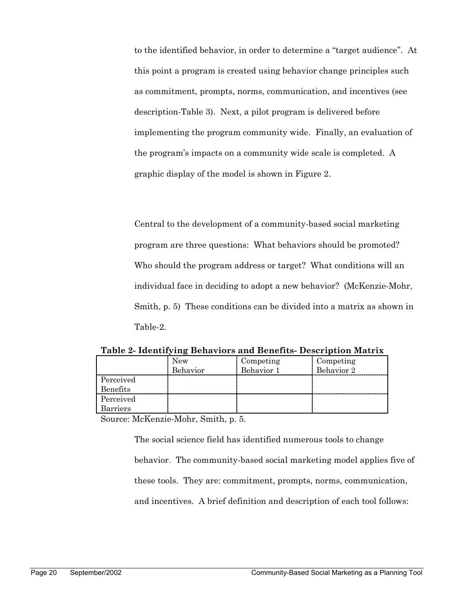to the identified behavior, in order to determine a "target audience". At this point a program is created using behavior change principles such as commitment, prompts, norms, communication, and incentives (see description-Table 3). Next, a pilot program is delivered before implementing the program community wide. Finally, an evaluation of the program's impacts on a community wide scale is completed. A graphic display of the model is shown in Figure 2.

Central to the development of a community-based social marketing program are three questions: What behaviors should be promoted? Who should the program address or target? What conditions will an individual face in deciding to adopt a new behavior? (McKenzie-Mohr, Smith, p. 5) These conditions can be divided into a matrix as shown in Table-2.

**Table 2- Identifying Behaviors and Benefits- Description Matrix** 

|                 | <b>New</b> | Competing  | Competing  |
|-----------------|------------|------------|------------|
|                 | Behavior   | Behavior 1 | Behavior 2 |
| Perceived       |            |            |            |
| <b>Benefits</b> |            |            |            |
| Perceived       |            |            |            |
| Barriers        |            |            |            |

Source: McKenzie-Mohr, Smith, p. 5.

The social science field has identified numerous tools to change behavior. The community-based social marketing model applies five of these tools. They are: commitment, prompts, norms, communication, and incentives. A brief definition and description of each tool follows: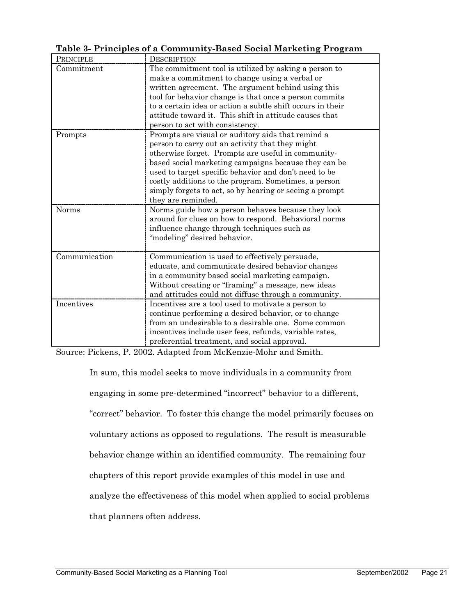| Table 3- Principles of a Community-Based Social Marketing Program |
|-------------------------------------------------------------------|
|-------------------------------------------------------------------|

| PRINCIPLE     | <b>DESCRIPTION</b>                                         |
|---------------|------------------------------------------------------------|
| Commitment    | The commitment tool is utilized by asking a person to      |
|               | make a commitment to change using a verbal or              |
|               | written agreement. The argument behind using this          |
|               | tool for behavior change is that once a person commits     |
|               | to a certain idea or action a subtle shift occurs in their |
|               | attitude toward it. This shift in attitude causes that     |
|               | person to act with consistency.                            |
| Prompts       | Prompts are visual or auditory aids that remind a          |
|               | person to carry out an activity that they might            |
|               | otherwise forget. Prompts are useful in community-         |
|               | based social marketing campaigns because they can be       |
|               | used to target specific behavior and don't need to be      |
|               | costly additions to the program. Sometimes, a person       |
|               | simply forgets to act, so by hearing or seeing a prompt    |
|               | they are reminded.                                         |
| Norms         | Norms guide how a person behaves because they look         |
|               | around for clues on how to respond. Behavioral norms       |
|               | influence change through techniques such as                |
|               | "modeling" desired behavior.                               |
|               |                                                            |
| Communication | Communication is used to effectively persuade,             |
|               | educate, and communicate desired behavior changes          |
|               | in a community based social marketing campaign.            |
|               | Without creating or "framing" a message, new ideas         |
|               | and attitudes could not diffuse through a community.       |
| Incentives    | Incentives are a tool used to motivate a person to         |
|               | continue performing a desired behavior, or to change       |
|               | from an undesirable to a desirable one. Some common        |
|               | incentives include user fees, refunds, variable rates,     |
|               | preferential treatment, and social approval.               |

Source: Pickens, P. 2002. Adapted from McKenzie-Mohr and Smith.

In sum, this model seeks to move individuals in a community from engaging in some pre-determined "incorrect" behavior to a different, "correct" behavior. To foster this change the model primarily focuses on voluntary actions as opposed to regulations. The result is measurable behavior change within an identified community. The remaining four chapters of this report provide examples of this model in use and analyze the effectiveness of this model when applied to social problems that planners often address.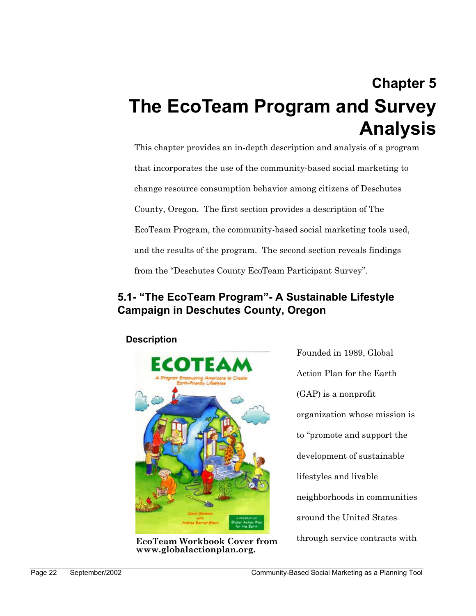# **Chapter 5 The EcoTeam Program and Survey Analysis**

This chapter provides an in-depth description and analysis of a program that incorporates the use of the community-based social marketing to change resource consumption behavior among citizens of Deschutes County, Oregon. The first section provides a description of The EcoTeam Program, the community-based social marketing tools used, and the results of the program. The second section reveals findings from the "Deschutes County EcoTeam Participant Survey".

## **5.1- "The EcoTeam Program"- A Sustainable Lifestyle Campaign in Deschutes County, Oregon**

**Description** 



through service contracts with **EcoTeam Workbook Cover from www.globalactionplan.org.** 

Founded in 1989, Global Action Plan for the Earth (GAP) is a nonprofit organization whose mission is to "promote and support the development of sustainable lifestyles and livable neighborhoods in communities around the United States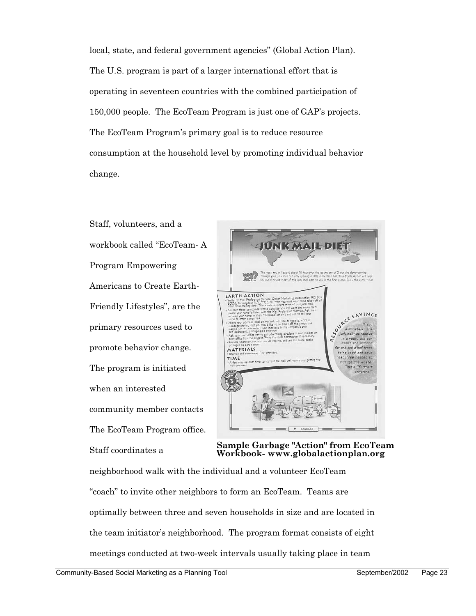local, state, and federal government agencies" (Global Action Plan). The U.S. program is part of a larger international effort that is operating in seventeen countries with the combined participation of 150,000 people. The EcoTeam Program is just one of GAP's projects. The EcoTeam Program's primary goal is to reduce resource consumption at the household level by promoting individual behavior change.

Staff, volunteers, and a workbook called "EcoTeam- A Program Empowering Americans to Create Earth-Friendly Lifestyles", are the primary resources used to promote behavior change. The program is initiated when an interested community member contacts The EcoTeam Program office. Staff coordinates a



**Sample Garbage "Action" from EcoTeam Workbook- www.globalactionplan.org** 

neighborhood walk with the individual and a volunteer EcoTeam "coach" to invite other neighbors to form an EcoTeam. Teams are optimally between three and seven households in size and are located in the team initiator's neighborhood. The program format consists of eight meetings conducted at two-week intervals usually taking place in team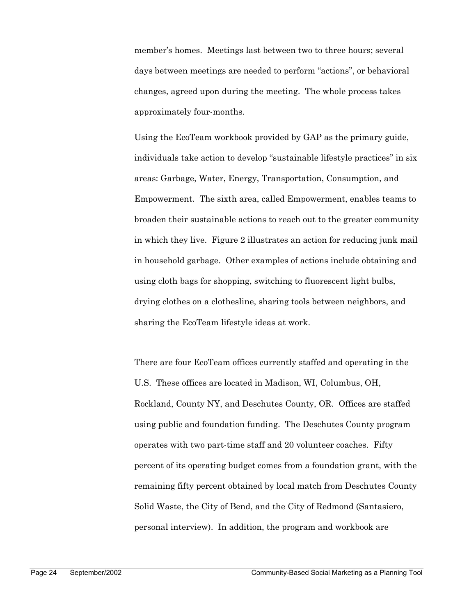member's homes. Meetings last between two to three hours; several days between meetings are needed to perform "actions", or behavioral changes, agreed upon during the meeting. The whole process takes approximately four-months.

Using the EcoTeam workbook provided by GAP as the primary guide, individuals take action to develop "sustainable lifestyle practices" in six areas: Garbage, Water, Energy, Transportation, Consumption, and Empowerment. The sixth area, called Empowerment, enables teams to broaden their sustainable actions to reach out to the greater community in which they live. Figure 2 illustrates an action for reducing junk mail in household garbage. Other examples of actions include obtaining and using cloth bags for shopping, switching to fluorescent light bulbs, drying clothes on a clothesline, sharing tools between neighbors, and sharing the EcoTeam lifestyle ideas at work.

There are four EcoTeam offices currently staffed and operating in the U.S. These offices are located in Madison, WI, Columbus, OH, Rockland, County NY, and Deschutes County, OR. Offices are staffed using public and foundation funding. The Deschutes County program operates with two part-time staff and 20 volunteer coaches. Fifty percent of its operating budget comes from a foundation grant, with the remaining fifty percent obtained by local match from Deschutes County Solid Waste, the City of Bend, and the City of Redmond (Santasiero, personal interview). In addition, the program and workbook are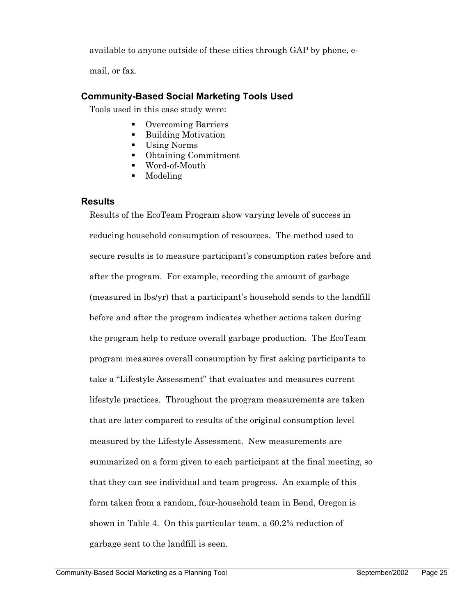available to anyone outside of these cities through GAP by phone, e-

mail, or fax.

## **Community-Based Social Marketing Tools Used**

Tools used in this case study were:

- Overcoming Barriers
- Building Motivation
- Using Norms
- Obtaining Commitment
- Word-of-Mouth
- Modeling

### **Results**

Results of the EcoTeam Program show varying levels of success in reducing household consumption of resources. The method used to secure results is to measure participant's consumption rates before and after the program. For example, recording the amount of garbage (measured in lbs/yr) that a participant's household sends to the landfill before and after the program indicates whether actions taken during the program help to reduce overall garbage production. The EcoTeam program measures overall consumption by first asking participants to take a "Lifestyle Assessment" that evaluates and measures current lifestyle practices. Throughout the program measurements are taken that are later compared to results of the original consumption level measured by the Lifestyle Assessment. New measurements are summarized on a form given to each participant at the final meeting, so that they can see individual and team progress. An example of this form taken from a random, four-household team in Bend, Oregon is shown in Table 4. On this particular team, a 60.2% reduction of garbage sent to the landfill is seen.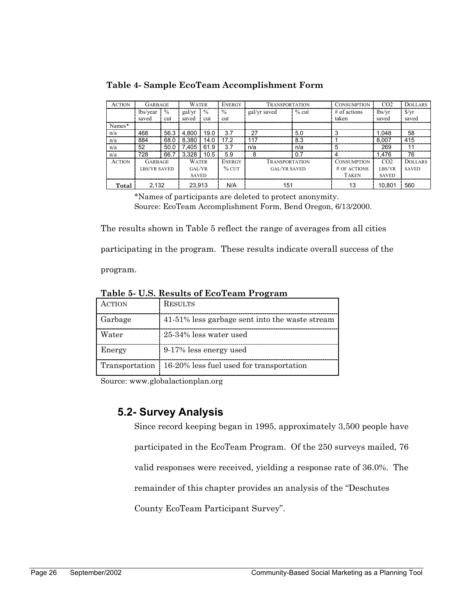**Table 4- Sample EcoTeam Accomplishment Form** 

| <b>ACTION</b> | <b>GARBAGE</b>      |               | <b>WATER</b> |               | ENERGY        | <b>TRANSPORTATION</b> |         | <b>CONSUMPTION</b> | CO <sub>2</sub> | <b>DOLLARS</b>          |
|---------------|---------------------|---------------|--------------|---------------|---------------|-----------------------|---------|--------------------|-----------------|-------------------------|
|               | lbs/year            | $\frac{0}{0}$ | gal/yr       | $\frac{0}{0}$ | $\frac{0}{0}$ | gal/yr saved          | $%$ cut | $#$ of actions     | lbs/vr          | $\frac{\gamma}{\gamma}$ |
|               | saved               | cut           | saved        | cut           | cut           |                       |         | taken              | saved           | saved                   |
| Names*        |                     |               |              |               |               |                       |         |                    |                 |                         |
| n/a           | 468                 | 56.3          | 4,800        | 19.0          | 3.7           | 27                    | 5.0     |                    | 1.048           | 58                      |
| n/a           | 884                 | 68.0          | 8.380        | 14.0          | 17.2          | 117                   | 8.3     |                    | 8.007           | 415                     |
| n/a           | 52                  | 50.0          | 7.405        | 61.9          | 3.7           | n/a                   | n/a     | 5                  | 269             | 11                      |
| n/a           | 728                 | 66.7          | 3.328        | 10.5          | 5.9           | 8                     | 0.7     |                    | 1.476           | 76                      |
| <b>ACTION</b> | <b>GARBAGE</b>      |               | <b>WATER</b> |               | <b>ENERGY</b> | <b>TRANSPORTATION</b> |         | <b>CONSUMPTION</b> | CO <sub>2</sub> | <b>DOLLARS</b>          |
|               | <b>LBS/YR SAVED</b> |               | GAL/YR       |               | $%$ CUT       | <b>GAL/YR SAVED</b>   |         | # OF ACTIONS       | LBS/YR          | <b>SAVED</b>            |
|               |                     |               | <b>SAVED</b> |               |               |                       |         | <b>TAKEN</b>       | <b>SAVED</b>    |                         |
| Total         | 2.132               |               | 23.913       |               | N/A           | 151                   |         | 13                 | 10.801          | 560                     |

\*Names of participants are deleted to protect anonymity. Source: EcoTeam Accomplishment Form, Bend Oregon, 6/13/2000.

The results shown in Table 5 reflect the range of averages from all cities

participating in the program. These results indicate overall success of the

program.

**Table 5- U.S. Results of EcoTeam Program** 

| ACTION  | <b>RESULTS</b>                                            |
|---------|-----------------------------------------------------------|
| Garbage | 41-51% less garbage sent into the waste stream            |
| Water   | 25-34% less water used                                    |
| Energy  | 9-17% less energy used                                    |
|         | Transportation   16-20% less fuel used for transportation |

Source: www.globalactionplan.org

## **5.2- Survey Analysis**

Since record keeping began in 1995, approximately 3,500 people have participated in the EcoTeam Program. Of the 250 surveys mailed, 76 valid responses were received, yielding a response rate of 36.0%. The remainder of this chapter provides an analysis of the "Deschutes County EcoTeam Participant Survey".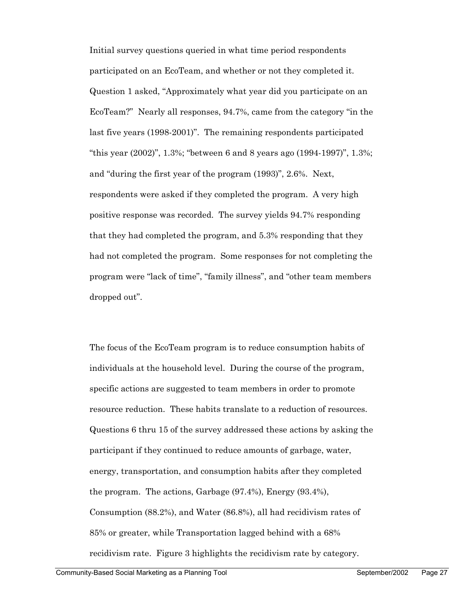Initial survey questions queried in what time period respondents participated on an EcoTeam, and whether or not they completed it. Question 1 asked, "Approximately what year did you participate on an EcoTeam?" Nearly all responses, 94.7%, came from the category "in the last five years (1998-2001)". The remaining respondents participated "this year (2002)", 1.3%; "between 6 and 8 years ago (1994-1997)", 1.3%; and "during the first year of the program (1993)", 2.6%. Next, respondents were asked if they completed the program. A very high positive response was recorded. The survey yields 94.7% responding that they had completed the program, and 5.3% responding that they had not completed the program. Some responses for not completing the program were "lack of time", "family illness", and "other team members dropped out".

The focus of the EcoTeam program is to reduce consumption habits of individuals at the household level. During the course of the program, specific actions are suggested to team members in order to promote resource reduction. These habits translate to a reduction of resources. Questions 6 thru 15 of the survey addressed these actions by asking the participant if they continued to reduce amounts of garbage, water, energy, transportation, and consumption habits after they completed the program. The actions, Garbage (97.4%), Energy (93.4%), Consumption (88.2%), and Water (86.8%), all had recidivism rates of 85% or greater, while Transportation lagged behind with a 68% recidivism rate. Figure 3 highlights the recidivism rate by category.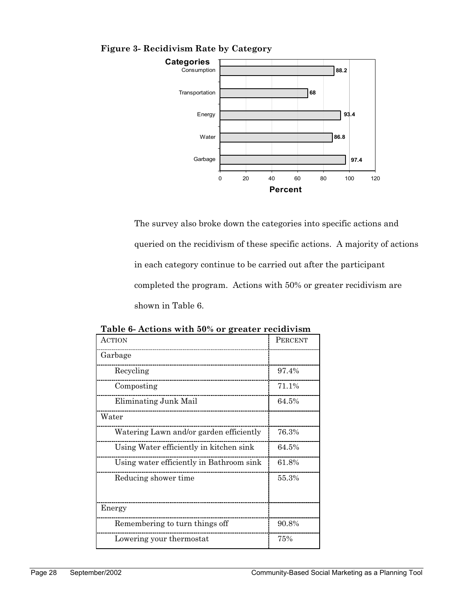

### **Figure 3- Recidivism Rate by Category**

The survey also broke down the categories into specific actions and queried on the recidivism of these specific actions. A majority of actions in each category continue to be carried out after the participant completed the program. Actions with 50% or greater recidivism are shown in Table 6.

| <b>ACTION</b>                            | PERCENT |
|------------------------------------------|---------|
| Garbage                                  |         |
| Recycling                                | 97.4%   |
| Composting                               | 71.1%   |
| Eliminating Junk Mail                    | 64.5%   |
| Water                                    |         |
| Watering Lawn and/or garden efficiently  | 76.3%   |
| Using Water efficiently in kitchen sink  | 64.5%   |
| Using water efficiently in Bathroom sink | 61.8%   |
| Reducing shower time                     | 55.3%   |
| Energy                                   |         |
| Remembering to turn things off           | 90.8%   |
| Lowering your thermostat                 | 75%     |

**Table 6- Actions with 50% or greater recidivism**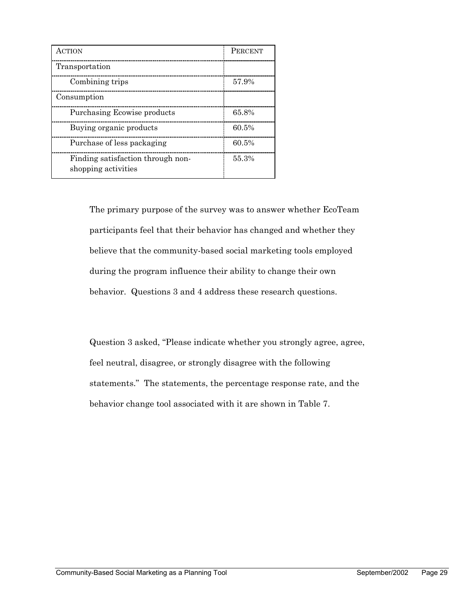| <b>ACTION</b>                                            | <b>PERCENT</b> |
|----------------------------------------------------------|----------------|
| Transportation                                           |                |
| Combining trips                                          | 57.9%          |
| Consumption                                              |                |
| Purchasing Ecowise products                              | 65.8%          |
| Buying organic products                                  | 60.5%          |
| Purchase of less packaging                               | 60.5%          |
| Finding satisfaction through non-<br>shopping activities | 55.3%          |

The primary purpose of the survey was to answer whether EcoTeam participants feel that their behavior has changed and whether they believe that the community-based social marketing tools employed during the program influence their ability to change their own behavior. Questions 3 and 4 address these research questions.

Question 3 asked, "Please indicate whether you strongly agree, agree, feel neutral, disagree, or strongly disagree with the following statements." The statements, the percentage response rate, and the behavior change tool associated with it are shown in Table 7.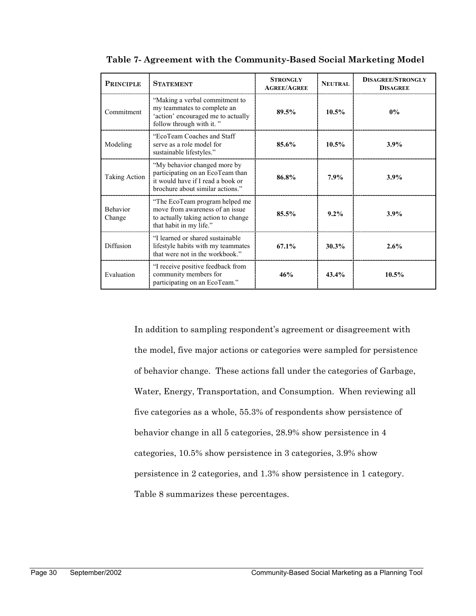| <b>PRINCIPLE</b>          | <b>STATEMENT</b>                                                                                                                          | <b>STRONGLY</b><br><b>AGREE/AGREE</b> | <b>NEUTRAL</b> | <b>DISAGREE/STRONGLY</b><br><b>DISAGREE</b> |  |
|---------------------------|-------------------------------------------------------------------------------------------------------------------------------------------|---------------------------------------|----------------|---------------------------------------------|--|
| Commitment                | "Making a verbal commitment to<br>my teammates to complete an<br>'action' encouraged me to actually<br>follow through with it."           | 10.5%<br>89.5%                        |                | $0\%$                                       |  |
| Modeling                  | "EcoTeam Coaches and Staff<br>serve as a role model for<br>sustainable lifestyles."                                                       | 85.6%                                 | $10.5\%$       | 3.9%                                        |  |
| <b>Taking Action</b>      | "My behavior changed more by<br>participating on an EcoTeam than<br>it would have if I read a book or<br>brochure about similar actions." | 86.8%                                 | 7.9%           | 3.9%                                        |  |
| <b>Behavior</b><br>Change | "The EcoTeam program helped me<br>move from awareness of an issue<br>to actually taking action to change<br>that habit in my life."       | 85.5%                                 | $9.2\%$        | 3.9%                                        |  |
| Diffusion                 | "I learned or shared sustainable<br>lifestyle habits with my teammates<br>that were not in the workbook."                                 | $67.1\%$                              | 30.3%          | 2.6%                                        |  |
| Evaluation                | "I receive positive feedback from<br>community members for<br>participating on an EcoTeam."                                               | 46%                                   | 43.4%          | $10.5\%$                                    |  |

**Table 7- Agreement with the Community-Based Social Marketing Model** 

In addition to sampling respondent's agreement or disagreement with the model, five major actions or categories were sampled for persistence of behavior change. These actions fall under the categories of Garbage, Water, Energy, Transportation, and Consumption. When reviewing all five categories as a whole, 55.3% of respondents show persistence of behavior change in all 5 categories, 28.9% show persistence in 4 categories, 10.5% show persistence in 3 categories, 3.9% show persistence in 2 categories, and 1.3% show persistence in 1 category. Table 8 summarizes these percentages.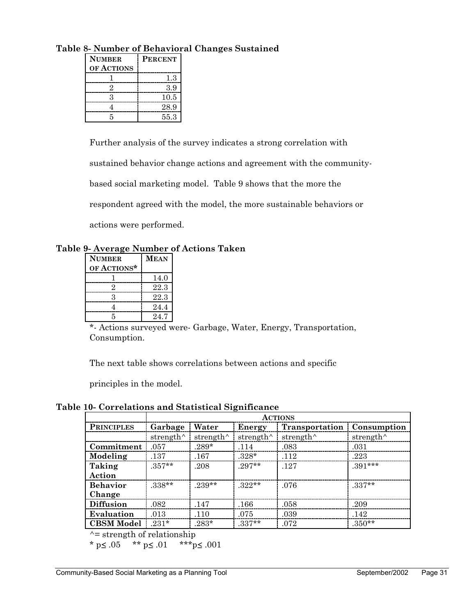| <b>NUMBER</b> | <b>PERCENT</b> |  |  |  |  |
|---------------|----------------|--|--|--|--|
| OF ACTIONS    |                |  |  |  |  |
|               | 13             |  |  |  |  |
|               | 39             |  |  |  |  |
|               | 10.5           |  |  |  |  |
|               | 28.9           |  |  |  |  |
|               | 55.3           |  |  |  |  |

**Table 8- Number of Behavioral Changes Sustained** 

Further analysis of the survey indicates a strong correlation with

sustained behavior change actions and agreement with the community-

based social marketing model. Table 9 shows that the more the

respondent agreed with the model, the more sustainable behaviors or

actions were performed.

**Table 9- Average Number of Actions Taken** 

| <b>NUMBER</b> | <b>MEAN</b> |
|---------------|-------------|
| OF ACTIONS*   |             |
|               | 14.0        |
|               | 22.3        |
|               | 22.3        |
|               | 24.4        |
|               | 24.7        |

\*- Actions surveyed were- Garbage, Water, Energy, Transportation, Consumption.

The next table shows correlations between actions and specific

principles in the model.

**Table 10- Correlations and Statistical Significance** 

|                   | <b>ACTIONS</b>    |                   |                   |                   |                    |
|-------------------|-------------------|-------------------|-------------------|-------------------|--------------------|
| <b>PRINCIPLES</b> | Garbage           | Water             | Energy            | Transportation    | <b>Consumption</b> |
|                   | strength $\wedge$ | strength $\wedge$ | strength $\wedge$ | strength $\wedge$ | strength $\wedge$  |
| Commitment        | .057              | $.289*$           | .114              | .083              | .031               |
| Modeling          | .137              | .167              | $.328*$           | .112              | .223               |
| Taking            | $.357**$          | .208              | $.297**$          | .127              | $.391***$          |
| Action            |                   |                   |                   |                   |                    |
| <b>Behavior</b>   | $.338**$          | $.239**$          | $.322**$          | .076              | $.337**$           |
| Change            |                   |                   |                   |                   |                    |
| <b>Diffusion</b>  | .082              | .147              | .166              | .058              | .209               |
| Evaluation        | .013              | .110              | .075              | .039              | .142               |
| <b>CBSM Model</b> | $.231*$           | $.283*$           | $.337**$          | .072              | $.350**$           |

 $\uparrow$  = strength of relationship

\* p≤ .05 \*\* p≤ .01 \*\*\* p≤ .001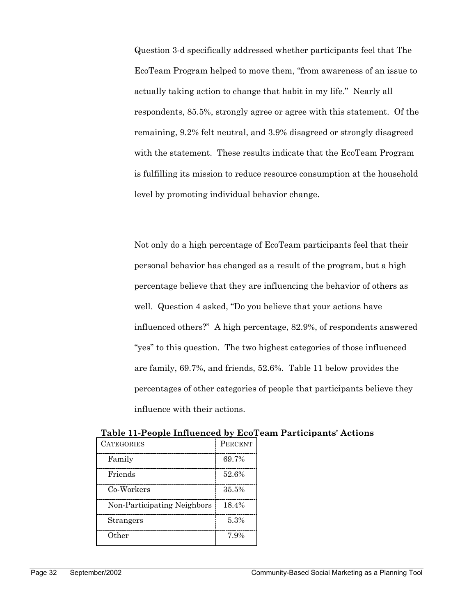Question 3-d specifically addressed whether participants feel that The EcoTeam Program helped to move them, "from awareness of an issue to actually taking action to change that habit in my life." Nearly all respondents, 85.5%, strongly agree or agree with this statement. Of the remaining, 9.2% felt neutral, and 3.9% disagreed or strongly disagreed with the statement. These results indicate that the EcoTeam Program is fulfilling its mission to reduce resource consumption at the household level by promoting individual behavior change.

Not only do a high percentage of EcoTeam participants feel that their personal behavior has changed as a result of the program, but a high percentage believe that they are influencing the behavior of others as well. Question 4 asked, "Do you believe that your actions have influenced others?" A high percentage, 82.9%, of respondents answered "yes" to this question. The two highest categories of those influenced are family, 69.7%, and friends, 52.6%. Table 11 below provides the percentages of other categories of people that participants believe they influence with their actions.

| <b>CATEGORIES</b>           | <b>PERCENT</b> |
|-----------------------------|----------------|
| Family                      | 69.7%          |
| Friends                     | 52.6%          |
| Co-Workers                  | $35.5\%$       |
| Non-Participating Neighbors | 18.4%          |
| Strangers                   | 5.3%           |
| Other                       | 7.9%           |

**Table 11-People Influenced by EcoTeam Participants' Actions**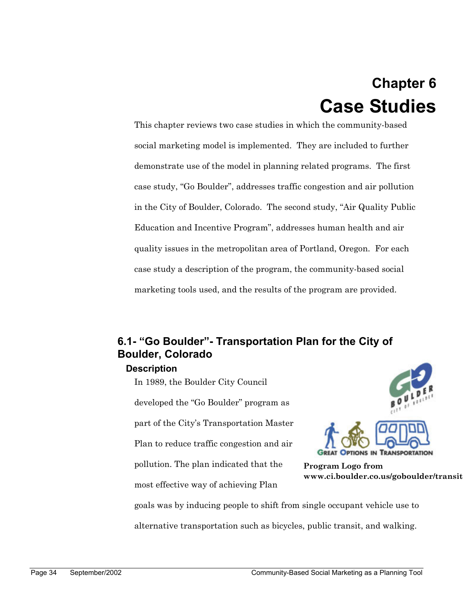## **Chapter 6 Case Studies**

This chapter reviews two case studies in which the community-based social marketing model is implemented. They are included to further demonstrate use of the model in planning related programs. The first case study, "Go Boulder", addresses traffic congestion and air pollution in the City of Boulder, Colorado. The second study, "Air Quality Public Education and Incentive Program", addresses human health and air quality issues in the metropolitan area of Portland, Oregon. For each case study a description of the program, the community-based social marketing tools used, and the results of the program are provided.

## **6.1- "Go Boulder"- Transportation Plan for the City of Boulder, Colorado**

## **Description**

In 1989, the Boulder City Council developed the "Go Boulder" program as part of the City's Transportation Master Plan to reduce traffic congestion and air pollution. The plan indicated that the most effective way of achieving Plan



**Program Logo from www.ci.boulder.co.us/goboulder/transit** 

goals was by inducing people to shift from single occupant vehicle use to alternative transportation such as bicycles, public transit, and walking.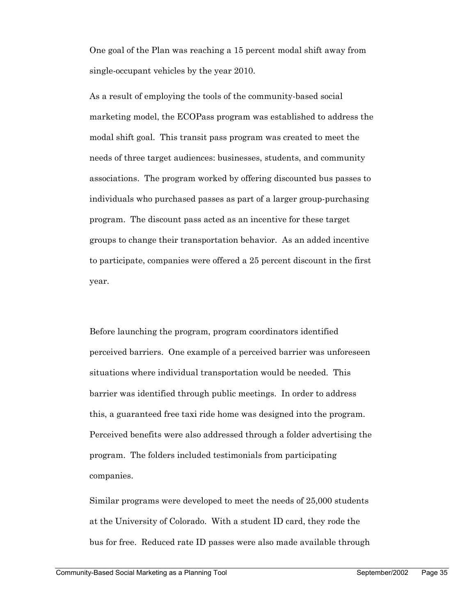One goal of the Plan was reaching a 15 percent modal shift away from single-occupant vehicles by the year 2010.

As a result of employing the tools of the community-based social marketing model, the ECOPass program was established to address the modal shift goal. This transit pass program was created to meet the needs of three target audiences: businesses, students, and community associations. The program worked by offering discounted bus passes to individuals who purchased passes as part of a larger group-purchasing program. The discount pass acted as an incentive for these target groups to change their transportation behavior. As an added incentive to participate, companies were offered a 25 percent discount in the first year.

Before launching the program, program coordinators identified perceived barriers. One example of a perceived barrier was unforeseen situations where individual transportation would be needed. This barrier was identified through public meetings. In order to address this, a guaranteed free taxi ride home was designed into the program. Perceived benefits were also addressed through a folder advertising the program. The folders included testimonials from participating companies.

Similar programs were developed to meet the needs of 25,000 students at the University of Colorado. With a student ID card, they rode the bus for free. Reduced rate ID passes were also made available through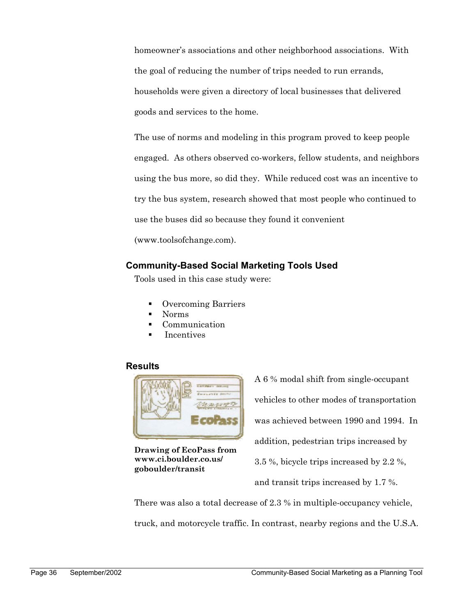homeowner's associations and other neighborhood associations. With the goal of reducing the number of trips needed to run errands, households were given a directory of local businesses that delivered goods and services to the home.

The use of norms and modeling in this program proved to keep people engaged. As others observed co-workers, fellow students, and neighbors using the bus more, so did they. While reduced cost was an incentive to try the bus system, research showed that most people who continued to use the buses did so because they found it convenient

(www.toolsofchange.com).

### **Community-Based Social Marketing Tools Used**

Tools used in this case study were:

- **•** Overcoming Barriers
- Norms
- Communication
- Incentives

### **Results**



**Drawing of EcoPass from www.ci.boulder.co.us/ goboulder/transit** 

A 6 % modal shift from single-occupant vehicles to other modes of transportation was achieved between 1990 and 1994. In addition, pedestrian trips increased by 3.5 %, bicycle trips increased by 2.2 %, and transit trips increased by 1.7 %.

There was also a total decrease of 2.3 % in multiple-occupancy vehicle, truck, and motorcycle traffic. In contrast, nearby regions and the U.S.A.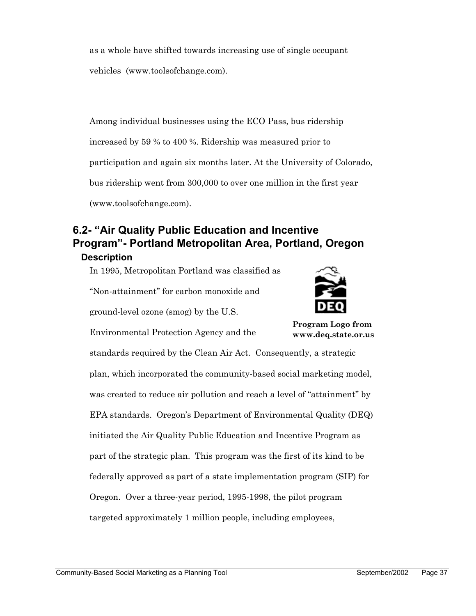as a whole have shifted towards increasing use of single occupant vehicles (www.toolsofchange.com).

Among individual businesses using the ECO Pass, bus ridership increased by 59 % to 400 %. Ridership was measured prior to participation and again six months later. At the University of Colorado, bus ridership went from 300,000 to over one million in the first year (www.toolsofchange.com).

## **6.2- "Air Quality Public Education and Incentive Program"- Portland Metropolitan Area, Portland, Oregon**

### **Description**

In 1995, Metropolitan Portland was classified as

"Non-attainment" for carbon monoxide and

ground-level ozone (smog) by the U.S.



**Program Logo from www.deq.state.or.us** 

Environmental Protection Agency and the

standards required by the Clean Air Act. Consequently, a strategic plan, which incorporated the community-based social marketing model, was created to reduce air pollution and reach a level of "attainment" by EPA standards. Oregon's Department of Environmental Quality (DEQ) initiated the Air Quality Public Education and Incentive Program as part of the strategic plan. This program was the first of its kind to be federally approved as part of a state implementation program (SIP) for Oregon. Over a three-year period, 1995-1998, the pilot program targeted approximately 1 million people, including employees,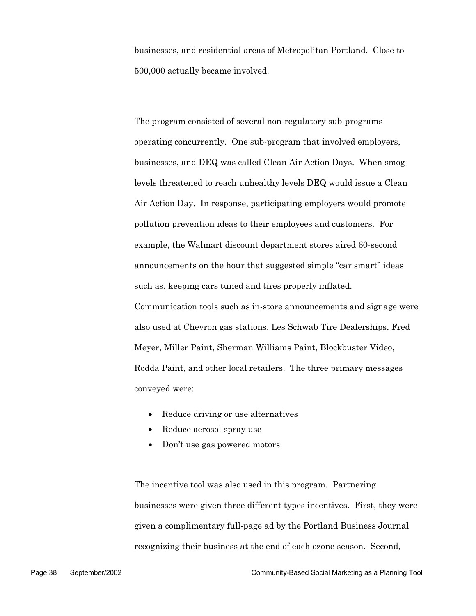businesses, and residential areas of Metropolitan Portland. Close to 500,000 actually became involved.

The program consisted of several non-regulatory sub-programs operating concurrently. One sub-program that involved employers, businesses, and DEQ was called Clean Air Action Days. When smog levels threatened to reach unhealthy levels DEQ would issue a Clean Air Action Day. In response, participating employers would promote pollution prevention ideas to their employees and customers. For example, the Walmart discount department stores aired 60-second announcements on the hour that suggested simple "car smart" ideas such as, keeping cars tuned and tires properly inflated. Communication tools such as in-store announcements and signage were also used at Chevron gas stations, Les Schwab Tire Dealerships, Fred Meyer, Miller Paint, Sherman Williams Paint, Blockbuster Video, Rodda Paint, and other local retailers. The three primary messages conveyed were:

- Reduce driving or use alternatives
- Reduce aerosol spray use
- Don't use gas powered motors

The incentive tool was also used in this program. Partnering businesses were given three different types incentives. First, they were given a complimentary full-page ad by the Portland Business Journal recognizing their business at the end of each ozone season. Second,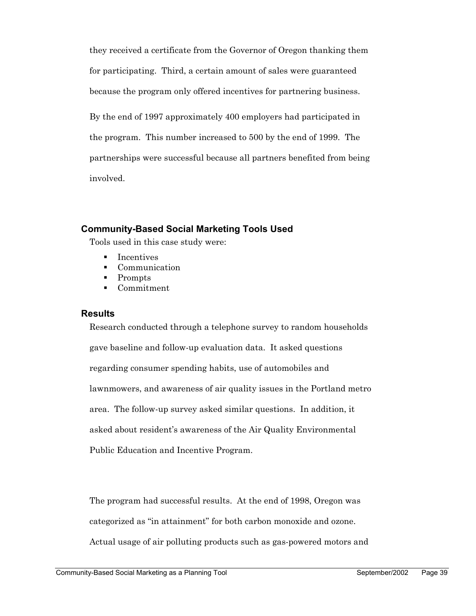they received a certificate from the Governor of Oregon thanking them for participating. Third, a certain amount of sales were guaranteed because the program only offered incentives for partnering business.

By the end of 1997 approximately 400 employers had participated in the program. This number increased to 500 by the end of 1999. The partnerships were successful because all partners benefited from being involved.

### **Community-Based Social Marketing Tools Used**

Tools used in this case study were:

- Incentives
- Communication
- Prompts
- Commitment

### **Results**

Research conducted through a telephone survey to random households gave baseline and follow-up evaluation data. It asked questions regarding consumer spending habits, use of automobiles and lawnmowers, and awareness of air quality issues in the Portland metro area. The follow-up survey asked similar questions. In addition, it asked about resident's awareness of the Air Quality Environmental Public Education and Incentive Program.

The program had successful results. At the end of 1998, Oregon was categorized as "in attainment" for both carbon monoxide and ozone. Actual usage of air polluting products such as gas-powered motors and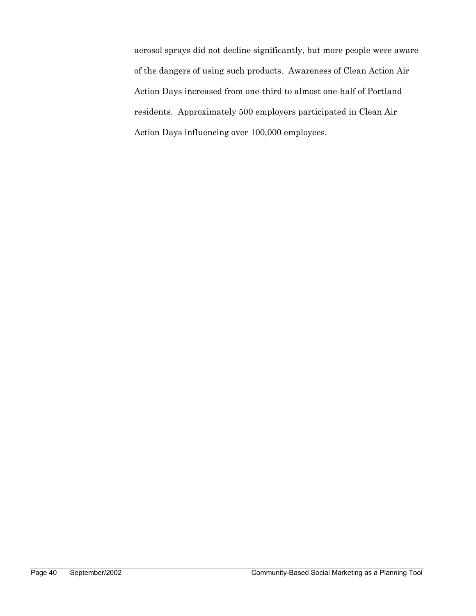aerosol sprays did not decline significantly, but more people were aware of the dangers of using such products. Awareness of Clean Action Air Action Days increased from one-third to almost one-half of Portland residents. Approximately 500 employers participated in Clean Air Action Days influencing over 100,000 employees.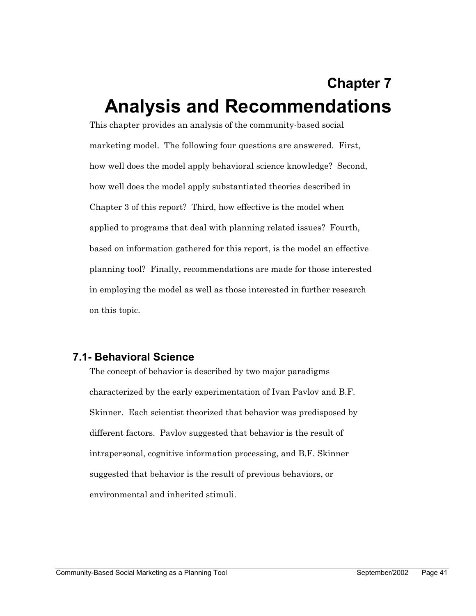# **Chapter 7 Analysis and Recommendations**

This chapter provides an analysis of the community-based social marketing model. The following four questions are answered. First, how well does the model apply behavioral science knowledge? Second, how well does the model apply substantiated theories described in Chapter 3 of this report? Third, how effective is the model when applied to programs that deal with planning related issues? Fourth, based on information gathered for this report, is the model an effective planning tool? Finally, recommendations are made for those interested in employing the model as well as those interested in further research on this topic.

## **7.1- Behavioral Science**

The concept of behavior is described by two major paradigms characterized by the early experimentation of Ivan Pavlov and B.F. Skinner. Each scientist theorized that behavior was predisposed by different factors. Pavlov suggested that behavior is the result of intrapersonal, cognitive information processing, and B.F. Skinner suggested that behavior is the result of previous behaviors, or environmental and inherited stimuli.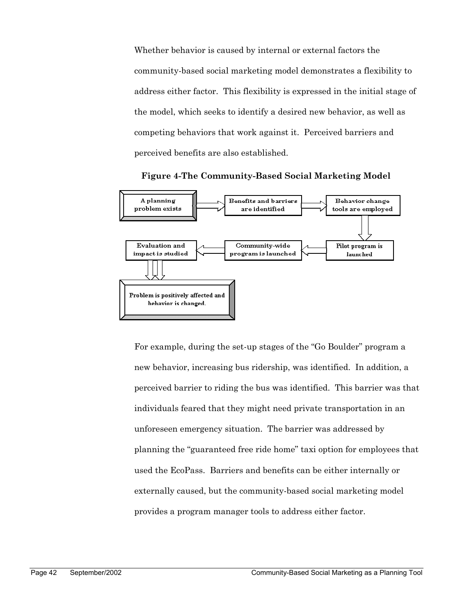Whether behavior is caused by internal or external factors the community-based social marketing model demonstrates a flexibility to address either factor. This flexibility is expressed in the initial stage of the model, which seeks to identify a desired new behavior, as well as competing behaviors that work against it. Perceived barriers and perceived benefits are also established.



**Figure 4-The Community-Based Social Marketing Model** 

For example, during the set-up stages of the "Go Boulder" program a new behavior, increasing bus ridership, was identified. In addition, a perceived barrier to riding the bus was identified. This barrier was that individuals feared that they might need private transportation in an unforeseen emergency situation. The barrier was addressed by planning the "guaranteed free ride home" taxi option for employees that used the EcoPass. Barriers and benefits can be either internally or externally caused, but the community-based social marketing model provides a program manager tools to address either factor.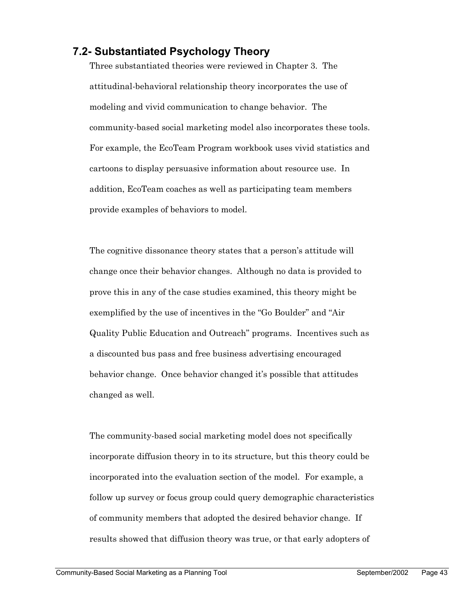## **7.2- Substantiated Psychology Theory**

Three substantiated theories were reviewed in Chapter 3. The attitudinal-behavioral relationship theory incorporates the use of modeling and vivid communication to change behavior. The community-based social marketing model also incorporates these tools. For example, the EcoTeam Program workbook uses vivid statistics and cartoons to display persuasive information about resource use. In addition, EcoTeam coaches as well as participating team members provide examples of behaviors to model.

The cognitive dissonance theory states that a person's attitude will change once their behavior changes. Although no data is provided to prove this in any of the case studies examined, this theory might be exemplified by the use of incentives in the "Go Boulder" and "Air Quality Public Education and Outreach" programs. Incentives such as a discounted bus pass and free business advertising encouraged behavior change. Once behavior changed it's possible that attitudes changed as well.

The community-based social marketing model does not specifically incorporate diffusion theory in to its structure, but this theory could be incorporated into the evaluation section of the model. For example, a follow up survey or focus group could query demographic characteristics of community members that adopted the desired behavior change. If results showed that diffusion theory was true, or that early adopters of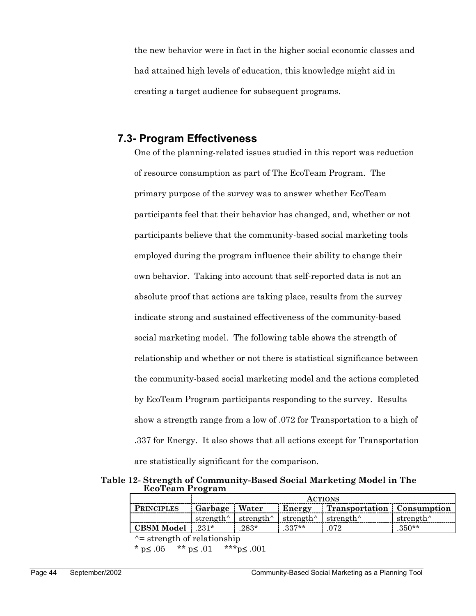the new behavior were in fact in the higher social economic classes and had attained high levels of education, this knowledge might aid in creating a target audience for subsequent programs.

## **7.3- Program Effectiveness**

One of the planning-related issues studied in this report was reduction of resource consumption as part of The EcoTeam Program. The primary purpose of the survey was to answer whether EcoTeam participants feel that their behavior has changed, and, whether or not participants believe that the community-based social marketing tools employed during the program influence their ability to change their own behavior. Taking into account that self-reported data is not an absolute proof that actions are taking place, results from the survey indicate strong and sustained effectiveness of the community-based social marketing model. The following table shows the strength of relationship and whether or not there is statistical significance between the community-based social marketing model and the actions completed by EcoTeam Program participants responding to the survey. Results show a strength range from a low of .072 for Transportation to a high of .337 for Energy. It also shows that all actions except for Transportation are statistically significant for the comparison.

**Table 12- Strength of Community-Based Social Marketing Model in The EcoTeam Program** 

|                    | <b>ACTIONS</b>    |        |                                                                                           |                                   |                                         |
|--------------------|-------------------|--------|-------------------------------------------------------------------------------------------|-----------------------------------|-----------------------------------------|
| <b>PRINCIPLES</b>  | : Garbage : Water |        |                                                                                           | Energy Transportation Consumption |                                         |
|                    |                   |        | strength <sup><math>\land</math></sup> strength $\land$ strength $\land$ strength $\land$ |                                   | strength <sup><math>\wedge</math></sup> |
| CBSM Model   .231* |                   | $283*$ | $.337**$                                                                                  | l 072                             | $.350**$                                |

 $\uparrow$  = strength of relationship

\* p≤ .05 \*\* p≤ .01 \*\*\* p≤ .001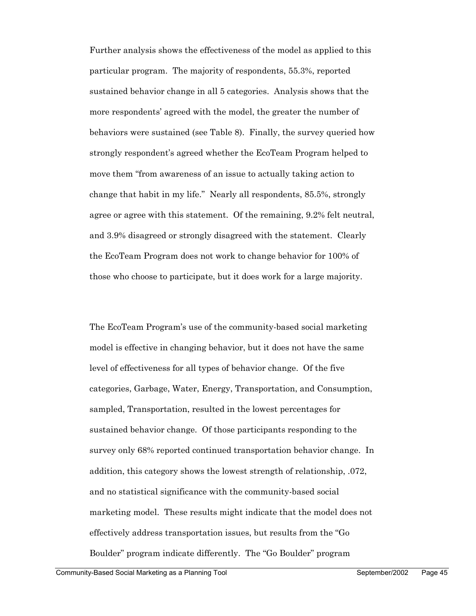Further analysis shows the effectiveness of the model as applied to this particular program. The majority of respondents, 55.3%, reported sustained behavior change in all 5 categories. Analysis shows that the more respondents' agreed with the model, the greater the number of behaviors were sustained (see Table 8). Finally, the survey queried how strongly respondent's agreed whether the EcoTeam Program helped to move them "from awareness of an issue to actually taking action to change that habit in my life." Nearly all respondents, 85.5%, strongly agree or agree with this statement. Of the remaining, 9.2% felt neutral, and 3.9% disagreed or strongly disagreed with the statement. Clearly the EcoTeam Program does not work to change behavior for 100% of those who choose to participate, but it does work for a large majority.

The EcoTeam Program's use of the community-based social marketing model is effective in changing behavior, but it does not have the same level of effectiveness for all types of behavior change. Of the five categories, Garbage, Water, Energy, Transportation, and Consumption, sampled, Transportation, resulted in the lowest percentages for sustained behavior change. Of those participants responding to the survey only 68% reported continued transportation behavior change. In addition, this category shows the lowest strength of relationship, .072, and no statistical significance with the community-based social marketing model. These results might indicate that the model does not effectively address transportation issues, but results from the "Go Boulder" program indicate differently. The "Go Boulder" program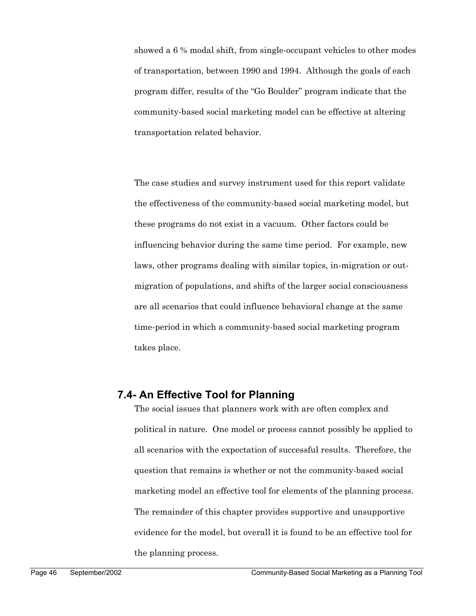showed a 6 % modal shift, from single-occupant vehicles to other modes of transportation, between 1990 and 1994. Although the goals of each program differ, results of the "Go Boulder" program indicate that the community-based social marketing model can be effective at altering transportation related behavior.

The case studies and survey instrument used for this report validate the effectiveness of the community-based social marketing model, but these programs do not exist in a vacuum. Other factors could be influencing behavior during the same time period. For example, new laws, other programs dealing with similar topics, in-migration or outmigration of populations, and shifts of the larger social consciousness are all scenarios that could influence behavioral change at the same time-period in which a community-based social marketing program takes place.

## **7.4- An Effective Tool for Planning**

The social issues that planners work with are often complex and political in nature. One model or process cannot possibly be applied to all scenarios with the expectation of successful results. Therefore, the question that remains is whether or not the community-based social marketing model an effective tool for elements of the planning process. The remainder of this chapter provides supportive and unsupportive evidence for the model, but overall it is found to be an effective tool for the planning process.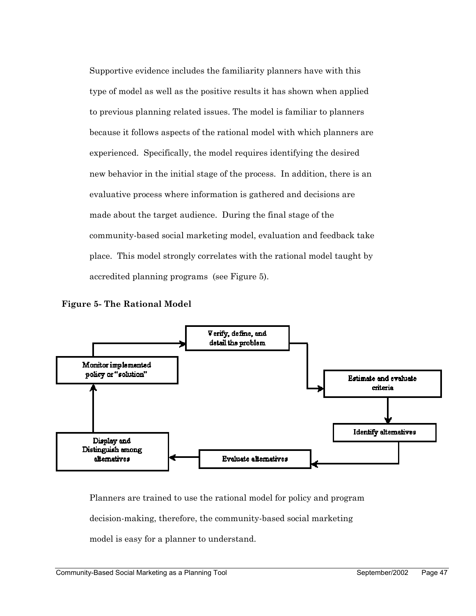Supportive evidence includes the familiarity planners have with this type of model as well as the positive results it has shown when applied to previous planning related issues. The model is familiar to planners because it follows aspects of the rational model with which planners are experienced. Specifically, the model requires identifying the desired new behavior in the initial stage of the process. In addition, there is an evaluative process where information is gathered and decisions are made about the target audience. During the final stage of the community-based social marketing model, evaluation and feedback take place. This model strongly correlates with the rational model taught by accredited planning programs (see Figure 5).





Planners are trained to use the rational model for policy and program decision-making, therefore, the community-based social marketing model is easy for a planner to understand.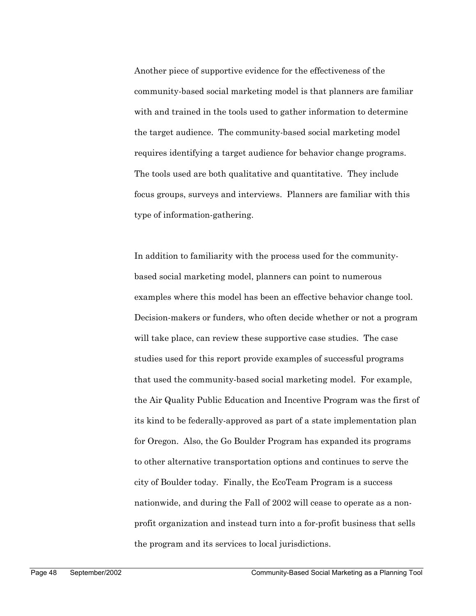Another piece of supportive evidence for the effectiveness of the community-based social marketing model is that planners are familiar with and trained in the tools used to gather information to determine the target audience. The community-based social marketing model requires identifying a target audience for behavior change programs. The tools used are both qualitative and quantitative. They include focus groups, surveys and interviews. Planners are familiar with this type of information-gathering.

In addition to familiarity with the process used for the communitybased social marketing model, planners can point to numerous examples where this model has been an effective behavior change tool. Decision-makers or funders, who often decide whether or not a program will take place, can review these supportive case studies. The case studies used for this report provide examples of successful programs that used the community-based social marketing model. For example, the Air Quality Public Education and Incentive Program was the first of its kind to be federally-approved as part of a state implementation plan for Oregon. Also, the Go Boulder Program has expanded its programs to other alternative transportation options and continues to serve the city of Boulder today. Finally, the EcoTeam Program is a success nationwide, and during the Fall of 2002 will cease to operate as a nonprofit organization and instead turn into a for-profit business that sells the program and its services to local jurisdictions.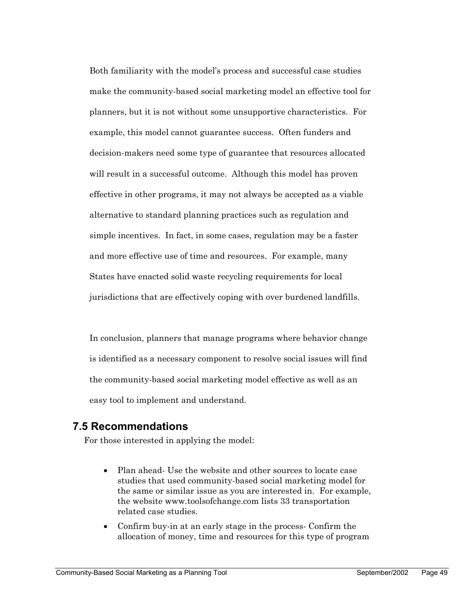Both familiarity with the model's process and successful case studies make the community-based social marketing model an effective tool for planners, but it is not without some unsupportive characteristics. For example, this model cannot guarantee success. Often funders and decision-makers need some type of guarantee that resources allocated will result in a successful outcome. Although this model has proven effective in other programs, it may not always be accepted as a viable alternative to standard planning practices such as regulation and simple incentives. In fact, in some cases, regulation may be a faster and more effective use of time and resources. For example, many States have enacted solid waste recycling requirements for local jurisdictions that are effectively coping with over burdened landfills.

In conclusion, planners that manage programs where behavior change is identified as a necessary component to resolve social issues will find the community-based social marketing model effective as well as an easy tool to implement and understand.

## **7.5 Recommendations**

For those interested in applying the model:

- Plan ahead-Use the website and other sources to locate case studies that used community-based social marketing model for the same or similar issue as you are interested in. For example, the website www.toolsofchange.com lists 33 transportation related case studies.
- Confirm buy-in at an early stage in the process- Confirm the allocation of money, time and resources for this type of program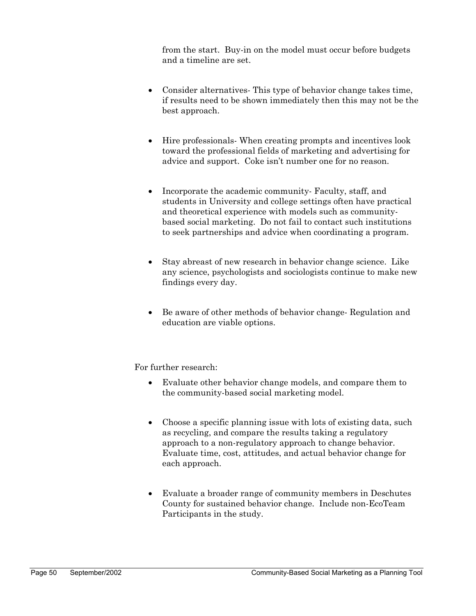from the start. Buy-in on the model must occur before budgets and a timeline are set.

- Consider alternatives- This type of behavior change takes time, if results need to be shown immediately then this may not be the best approach.
- Hire professionals- When creating prompts and incentives look toward the professional fields of marketing and advertising for advice and support. Coke isn't number one for no reason.
- Incorporate the academic community- Faculty, staff, and students in University and college settings often have practical and theoretical experience with models such as communitybased social marketing. Do not fail to contact such institutions to seek partnerships and advice when coordinating a program.
- Stay abreast of new research in behavior change science. Like any science, psychologists and sociologists continue to make new findings every day.
- Be aware of other methods of behavior change- Regulation and education are viable options.

For further research:

- Evaluate other behavior change models, and compare them to the community-based social marketing model.
- Choose a specific planning issue with lots of existing data, such as recycling, and compare the results taking a regulatory approach to a non-regulatory approach to change behavior. Evaluate time, cost, attitudes, and actual behavior change for each approach.
- Evaluate a broader range of community members in Deschutes County for sustained behavior change. Include non-EcoTeam Participants in the study.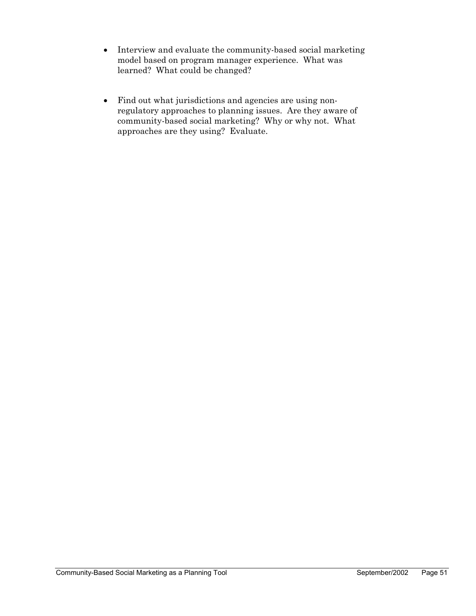- Interview and evaluate the community-based social marketing model based on program manager experience. What was learned? What could be changed?
- Find out what jurisdictions and agencies are using nonregulatory approaches to planning issues. Are they aware of community-based social marketing? Why or why not. What approaches are they using? Evaluate.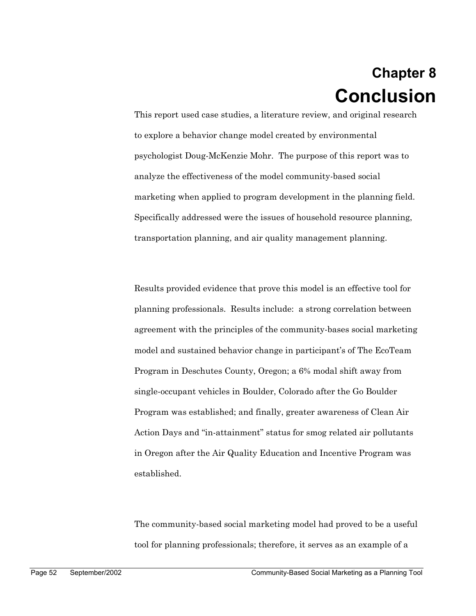## **Chapter 8 Conclusion**

This report used case studies, a literature review, and original research to explore a behavior change model created by environmental psychologist Doug-McKenzie Mohr. The purpose of this report was to analyze the effectiveness of the model community-based social marketing when applied to program development in the planning field. Specifically addressed were the issues of household resource planning, transportation planning, and air quality management planning.

Results provided evidence that prove this model is an effective tool for planning professionals. Results include: a strong correlation between agreement with the principles of the community-bases social marketing model and sustained behavior change in participant's of The EcoTeam Program in Deschutes County, Oregon; a 6% modal shift away from single-occupant vehicles in Boulder, Colorado after the Go Boulder Program was established; and finally, greater awareness of Clean Air Action Days and "in-attainment" status for smog related air pollutants in Oregon after the Air Quality Education and Incentive Program was established.

The community-based social marketing model had proved to be a useful tool for planning professionals; therefore, it serves as an example of a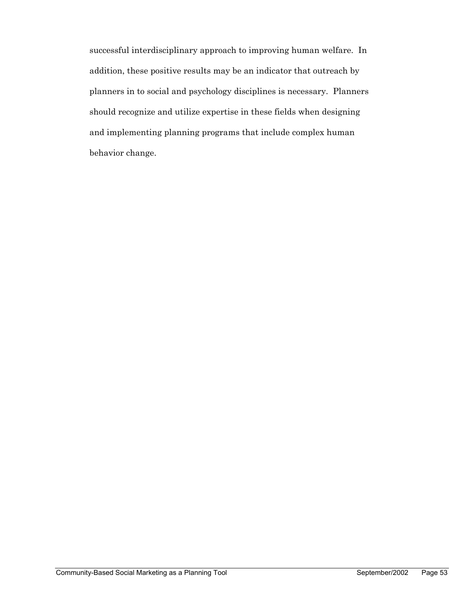successful interdisciplinary approach to improving human welfare. In addition, these positive results may be an indicator that outreach by planners in to social and psychology disciplines is necessary. Planners should recognize and utilize expertise in these fields when designing and implementing planning programs that include complex human behavior change.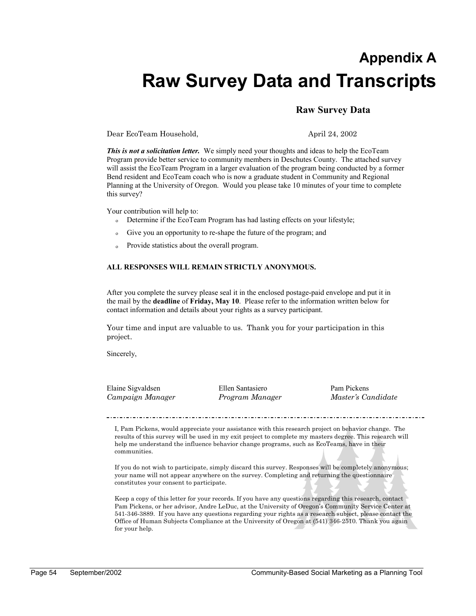## **Appendix A Raw Survey Data and Transcripts**

### **Raw Survey Data**

Dear EcoTeam Household, April 24, 2002

*This is not a solicitation letter.* We simply need your thoughts and ideas to help the EcoTeam Program provide better service to community members in Deschutes County. The attached survey will assist the EcoTeam Program in a larger evaluation of the program being conducted by a former Bend resident and EcoTeam coach who is now a graduate student in Community and Regional Planning at the University of Oregon. Would you please take 10 minutes of your time to complete this survey?

Your contribution will help to:

- o Determine if the EcoTeam Program has had lasting effects on your lifestyle;
- o Give you an opportunity to re-shape the future of the program; and
- o Provide statistics about the overall program.

#### **ALL RESPONSES WILL REMAIN STRICTLY ANONYMOUS.**

After you complete the survey please seal it in the enclosed postage-paid envelope and put it in the mail by the **deadline** of **Friday, May 10**. Please refer to the information written below for contact information and details about your rights as a survey participant.

Your time and input are valuable to us. Thank you for your participation in this project.

Sincerely,

Elaine Sigvaldsen Ellen Santasiero Pam Pickens *Campaign Manager Program Manager Master's Candidate* 

I, Pam Pickens, would appreciate your assistance with this research project on behavior change. The results of this survey will be used in my exit project to complete my masters degree. This research will help me understand the influence behavior change programs, such as EcoTeams, have in their communities.

If you do not wish to participate, simply discard this survey. Responses will be completely anonymous; your name will not appear anywhere on the survey. Completing and returning the questionnaire constitutes your consent to participate.

Keep a copy of this letter for your records. If you have any questions regarding this research, contact Pam Pickens, or her advisor, Andre LeDuc, at the University of Oregon's Community Service Center at 541-346-3889. If you have any questions regarding your rights as a research subject, please contact the Office of Human Subjects Compliance at the University of Oregon at (541) 346-2510. Thank you again for your help.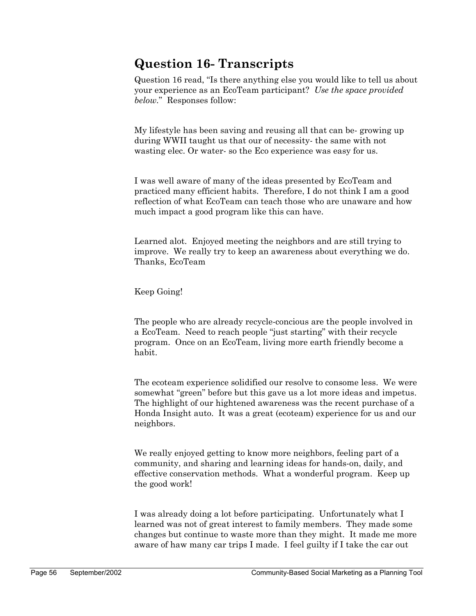## **Question 16- Transcripts**

Question 16 read, "Is there anything else you would like to tell us about your experience as an EcoTeam participant? *Use the space provided below.*" Responses follow:

My lifestyle has been saving and reusing all that can be- growing up during WWII taught us that our of necessity- the same with not wasting elec. Or water- so the Eco experience was easy for us.

I was well aware of many of the ideas presented by EcoTeam and practiced many efficient habits. Therefore, I do not think I am a good reflection of what EcoTeam can teach those who are unaware and how much impact a good program like this can have.

Learned alot. Enjoyed meeting the neighbors and are still trying to improve. We really try to keep an awareness about everything we do. Thanks, EcoTeam

Keep Going!

The people who are already recycle-concious are the people involved in a EcoTeam. Need to reach people "just starting" with their recycle program. Once on an EcoTeam, living more earth friendly become a habit.

The ecoteam experience solidified our resolve to consome less. We were somewhat "green" before but this gave us a lot more ideas and impetus. The highlight of our hightened awareness was the recent purchase of a Honda Insight auto. It was a great (ecoteam) experience for us and our neighbors.

We really enjoyed getting to know more neighbors, feeling part of a community, and sharing and learning ideas for hands-on, daily, and effective conservation methods. What a wonderful program. Keep up the good work!

I was already doing a lot before participating. Unfortunately what I learned was not of great interest to family members. They made some changes but continue to waste more than they might. It made me more aware of haw many car trips I made. I feel guilty if I take the car out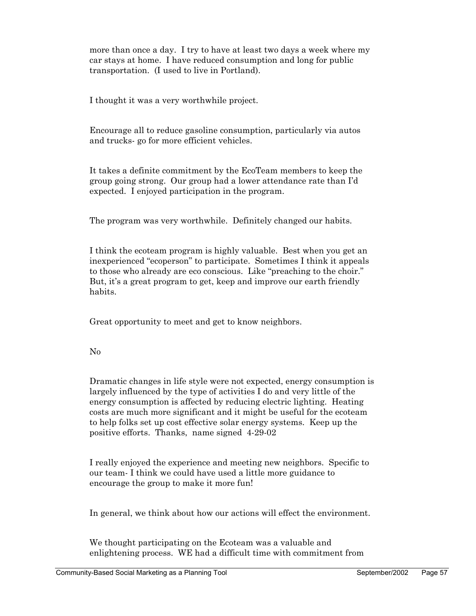more than once a day. I try to have at least two days a week where my car stays at home. I have reduced consumption and long for public transportation. (I used to live in Portland).

I thought it was a very worthwhile project.

Encourage all to reduce gasoline consumption, particularly via autos and trucks- go for more efficient vehicles.

It takes a definite commitment by the EcoTeam members to keep the group going strong. Our group had a lower attendance rate than I'd expected. I enjoyed participation in the program.

The program was very worthwhile. Definitely changed our habits.

I think the ecoteam program is highly valuable. Best when you get an inexperienced "ecoperson" to participate. Sometimes I think it appeals to those who already are eco conscious. Like "preaching to the choir." But, it's a great program to get, keep and improve our earth friendly habits.

Great opportunity to meet and get to know neighbors.

No

Dramatic changes in life style were not expected, energy consumption is largely influenced by the type of activities I do and very little of the energy consumption is affected by reducing electric lighting. Heating costs are much more significant and it might be useful for the ecoteam to help folks set up cost effective solar energy systems. Keep up the positive efforts. Thanks, name signed 4-29-02

I really enjoyed the experience and meeting new neighbors. Specific to our team- I think we could have used a little more guidance to encourage the group to make it more fun!

In general, we think about how our actions will effect the environment.

We thought participating on the Ecoteam was a valuable and enlightening process. WE had a difficult time with commitment from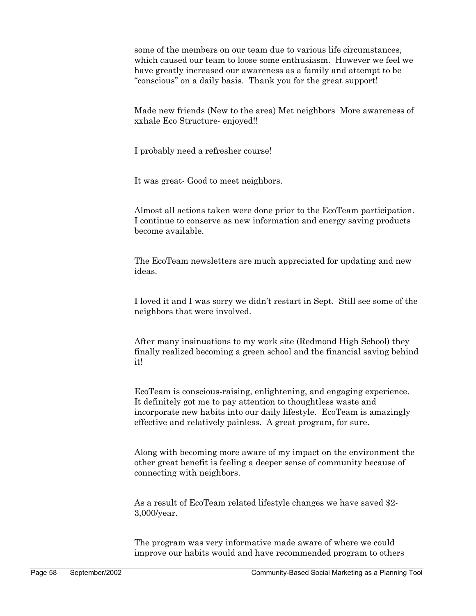some of the members on our team due to various life circumstances, which caused our team to loose some enthusiasm. However we feel we have greatly increased our awareness as a family and attempt to be "conscious" on a daily basis. Thank you for the great support!

Made new friends (New to the area) Met neighbors More awareness of xxhale Eco Structure- enjoyed!!

I probably need a refresher course!

It was great- Good to meet neighbors.

Almost all actions taken were done prior to the EcoTeam participation. I continue to conserve as new information and energy saving products become available.

The EcoTeam newsletters are much appreciated for updating and new ideas.

I loved it and I was sorry we didn't restart in Sept. Still see some of the neighbors that were involved.

After many insinuations to my work site (Redmond High School) they finally realized becoming a green school and the financial saving behind it!

EcoTeam is conscious-raising, enlightening, and engaging experience. It definitely got me to pay attention to thoughtless waste and incorporate new habits into our daily lifestyle. EcoTeam is amazingly effective and relatively painless. A great program, for sure.

Along with becoming more aware of my impact on the environment the other great benefit is feeling a deeper sense of community because of connecting with neighbors.

As a result of EcoTeam related lifestyle changes we have saved \$2- 3,000/year.

The program was very informative made aware of where we could improve our habits would and have recommended program to others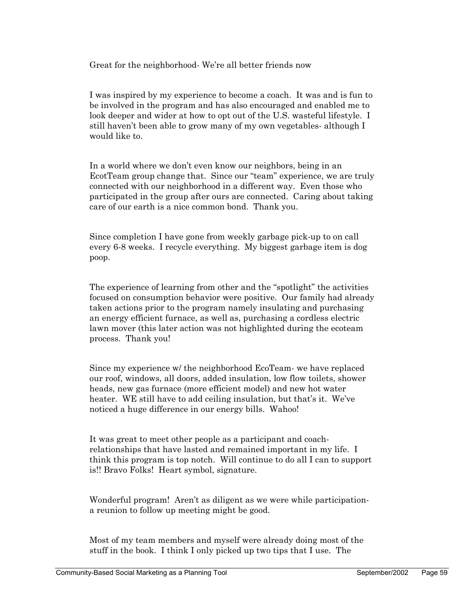Great for the neighborhood- We're all better friends now

I was inspired by my experience to become a coach. It was and is fun to be involved in the program and has also encouraged and enabled me to look deeper and wider at how to opt out of the U.S. wasteful lifestyle. I still haven't been able to grow many of my own vegetables- although I would like to.

In a world where we don't even know our neighbors, being in an EcotTeam group change that. Since our "team" experience, we are truly connected with our neighborhood in a different way. Even those who participated in the group after ours are connected. Caring about taking care of our earth is a nice common bond. Thank you.

Since completion I have gone from weekly garbage pick-up to on call every 6-8 weeks. I recycle everything. My biggest garbage item is dog poop.

The experience of learning from other and the "spotlight" the activities focused on consumption behavior were positive. Our family had already taken actions prior to the program namely insulating and purchasing an energy efficient furnace, as well as, purchasing a cordless electric lawn mover (this later action was not highlighted during the ecoteam process. Thank you!

Since my experience w/ the neighborhood EcoTeam- we have replaced our roof, windows, all doors, added insulation, low flow toilets, shower heads, new gas furnace (more efficient model) and new hot water heater. WE still have to add ceiling insulation, but that's it. We've noticed a huge difference in our energy bills. Wahoo!

It was great to meet other people as a participant and coachrelationships that have lasted and remained important in my life. I think this program is top notch. Will continue to do all I can to support is!! Bravo Folks! Heart symbol, signature.

Wonderful program! Aren't as diligent as we were while participationa reunion to follow up meeting might be good.

Most of my team members and myself were already doing most of the stuff in the book. I think I only picked up two tips that I use. The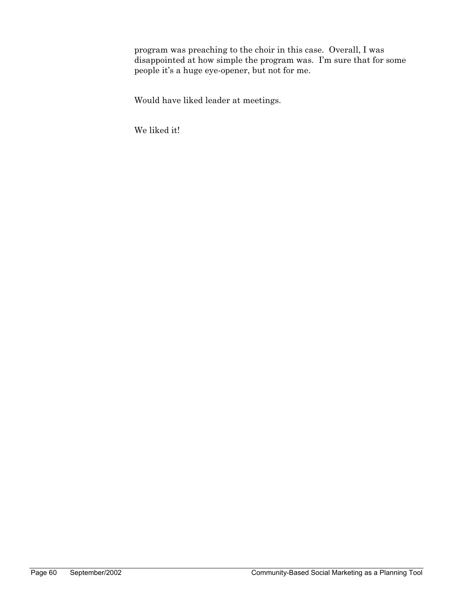program was preaching to the choir in this case. Overall, I was disappointed at how simple the program was. I'm sure that for some people it's a huge eye-opener, but not for me.

Would have liked leader at meetings.

We liked it!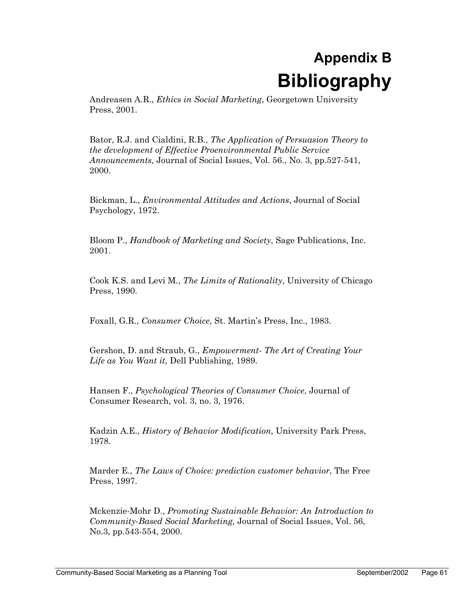# **Appendix B Bibliography**

Andreasen A.R., *Ethics in Social Marketing*, Georgetown University Press, 2001.

Bator, R.J. and Cialdini, R.B., *The Application of Persuasion Theory to the development of Effective Proenvironmental Public Service Announcements,* Journal of Social Issues, Vol. 56., No. 3, pp.527-541, 2000.

Bickman, L., *Environmental Attitudes and Actions*, Journal of Social Psychology, 1972.

Bloom P., *Handbook of Marketing and Society*, Sage Publications, Inc. 2001.

Cook K.S. and Levi M., *The Limits of Rationality*, University of Chicago Press, 1990.

Foxall, G.R., *Consumer Choice*, St. Martin's Press, Inc., 1983.

Gershon, D. and Straub, G., *Empowerment- The Art of Creating Your Life as You Want it,* Dell Publishing, 1989.

Hansen F., *Psychological Theories of Consumer Choice*, Journal of Consumer Research, vol. 3, no. 3, 1976.

Kadzin A.E., *History of Behavior Modification,* University Park Press, 1978.

Marder E., *The Laws of Choice: prediction customer behavior*, The Free Press, 1997.

Mckenzie-Mohr D., *Promoting Sustainable Behavior: An Introduction to Community-Based Social Marketing,* Journal of Social Issues, Vol. 56, No.3, pp.543-554, 2000.